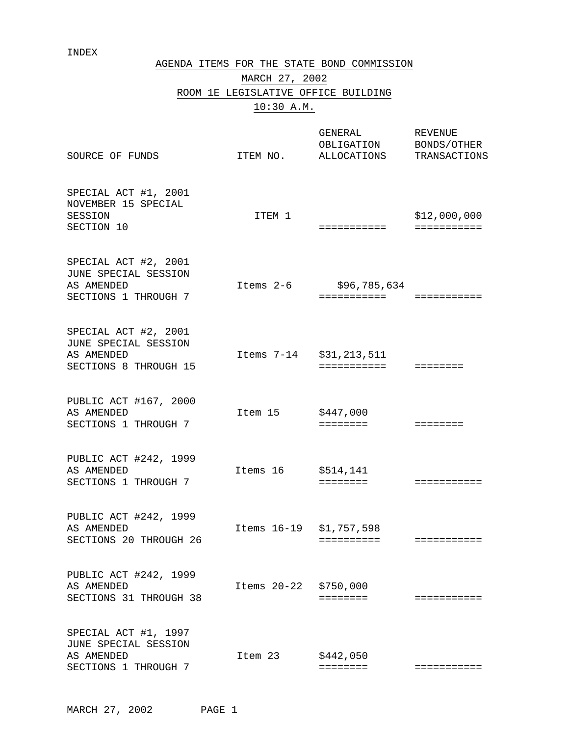### INDEX

AGENDA ITEMS FOR THE STATE BOND COMMISSION

# MARCH 27, 2002 ROOM 1E LEGISLATIVE OFFICE BUILDING 10:30 A.M.

| SOURCE OF FUNDS                                                                     | ITEM NO.                | GENERAL<br>OBLIGATION<br>ALLOCATIONS | <b>REVENUE</b><br>BONDS/OTHER<br>TRANSACTIONS |
|-------------------------------------------------------------------------------------|-------------------------|--------------------------------------|-----------------------------------------------|
| SPECIAL ACT #1, 2001<br>NOVEMBER 15 SPECIAL<br>SESSION<br>SECTION 10                | ITEM 1                  | ===========                          | \$12,000,000                                  |
| SPECIAL ACT #2, 2001<br>JUNE SPECIAL SESSION<br>AS AMENDED<br>SECTIONS 1 THROUGH 7  | Items 2-6               | \$96,785,634<br>===========          | ===========                                   |
| SPECIAL ACT #2, 2001<br>JUNE SPECIAL SESSION<br>AS AMENDED<br>SECTIONS 8 THROUGH 15 | Items 7-14 \$31,213,511 | ===========                          | $=$ = = = = = = =                             |
| PUBLIC ACT #167, 2000<br>AS AMENDED<br>SECTIONS 1 THROUGH 7                         | Item 15                 | \$447,000<br>========                | $=$ = = = = = = =                             |
| PUBLIC ACT #242, 1999<br>AS AMENDED<br>SECTIONS 1 THROUGH 7                         | Items 16                | \$514,141<br>========                | ===========                                   |
| PUBLIC ACT #242, 1999<br>AS AMENDED<br>SECTIONS 20 THROUGH 26                       | Items 16-19 \$1,757,598 | ==========                           |                                               |
| PUBLIC ACT #242, 1999<br>AS AMENDED<br>SECTIONS 31 THROUGH 38                       | Items 20-22 \$750,000   | ========                             | ===========                                   |
| SPECIAL ACT #1, 1997<br>JUNE SPECIAL SESSION<br>AS AMENDED<br>SECTIONS 1 THROUGH 7  | Item 23                 | \$442,050<br>$=$ = = = = = = =       | ===========                                   |

MARCH 27, 2002 PAGE 1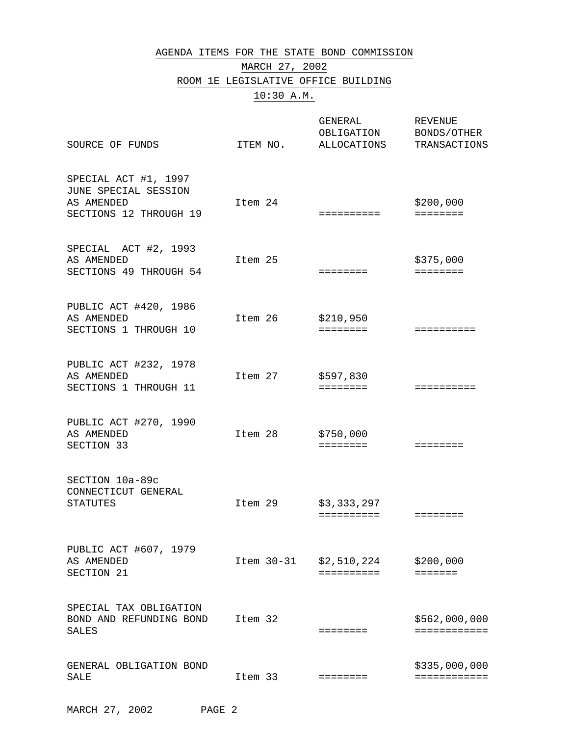### AGENDA ITEMS FOR THE STATE BOND COMMISSION MARCH 27, 2002 ROOM 1E LEGISLATIVE OFFICE BUILDING

10:30 A.M.

| SOURCE OF FUNDS                                                                      | ITEM NO. | GENERAL<br>OBLIGATION<br>ALLOCATIONS | <b>REVENUE</b><br>BONDS/OTHER<br>TRANSACTIONS |
|--------------------------------------------------------------------------------------|----------|--------------------------------------|-----------------------------------------------|
| SPECIAL ACT #1, 1997<br>JUNE SPECIAL SESSION<br>AS AMENDED<br>SECTIONS 12 THROUGH 19 | Item 24  | ==========                           | \$200,000<br>$=$ = = = = = = =                |
| SPECIAL ACT #2, 1993<br>AS AMENDED<br>SECTIONS 49 THROUGH 54                         | Item 25  | ========                             | \$375,000<br>$=$ = = = = = = =                |
| PUBLIC ACT #420, 1986<br>AS AMENDED<br>SECTIONS 1 THROUGH 10                         | Item 26  | \$210,950<br>========                | ==========                                    |
| PUBLIC ACT #232, 1978<br>AS AMENDED<br>SECTIONS 1 THROUGH 11                         | Item 27  | \$597,830<br>$=$ = = = = = = =       | ==========                                    |
| PUBLIC ACT #270, 1990<br>AS AMENDED<br>SECTION 33                                    | Item 28  | \$750,000<br>========                | ========                                      |
| SECTION 10a-89c<br>CONNECTICUT GENERAL<br><b>STATUTES</b>                            | Item 29  | \$3,333,297<br>==========            | ========                                      |
| PUBLIC ACT #607, 1979<br>AS AMENDED<br>SECTION 21                                    |          | Item 30-31 \$2,510,224<br>========== | \$200,000<br><b>=======</b>                   |
| SPECIAL TAX OBLIGATION<br>BOND AND REFUNDING BOND<br>SALES                           | Item 32  | ========                             | \$562,000,000<br>============                 |
| GENERAL OBLIGATION BOND<br>SALE                                                      | Item 33  | ========                             | \$335,000,000<br>============                 |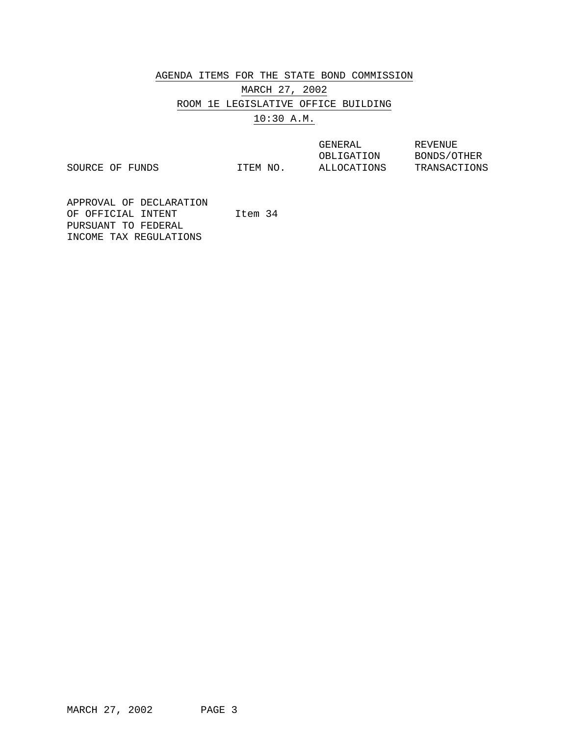AGENDA ITEMS FOR THE STATE BOND COMMISSION

MARCH 27, 2002 ROOM 1E LEGISLATIVE OFFICE BUILDING 10:30 A.M.

SOURCE OF FUNDS

OBLIGATION ALLOCATIONS

GENERAL REVENUE BONDS/OTHER TRANSACTIONS

APPROVAL OF DECLARATION OF OFFICIAL INTENT PURSUANT TO FEDERAL INCOME TAX REGULATIONS Item 34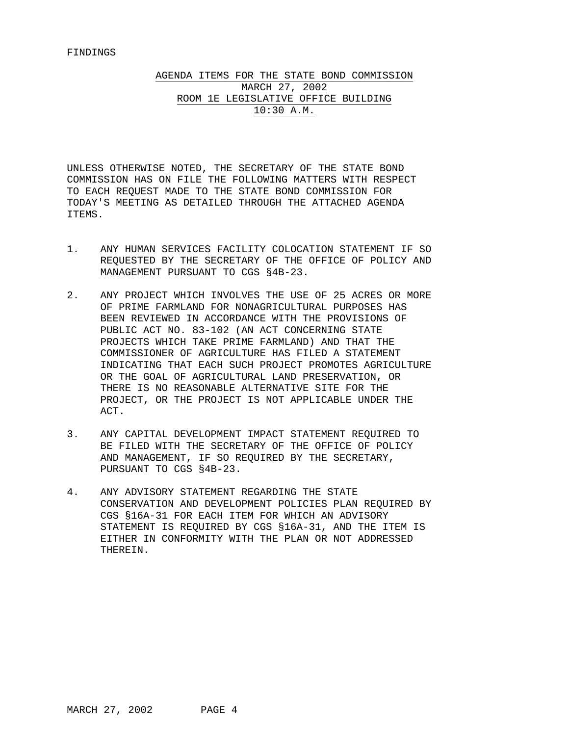AGENDA ITEMS FOR THE STATE BOND COMMISSION MARCH 27, 2002 ROOM 1E LEGISLATIVE OFFICE BUILDING 10:30 A.M.

UNLESS OTHERWISE NOTED, THE SECRETARY OF THE STATE BOND COMMISSION HAS ON FILE THE FOLLOWING MATTERS WITH RESPECT TO EACH REQUEST MADE TO THE STATE BOND COMMISSION FOR TODAY'S MEETING AS DETAILED THROUGH THE ATTACHED AGENDA ITEMS.

- 1. ANY HUMAN SERVICES FACILITY COLOCATION STATEMENT IF SO REQUESTED BY THE SECRETARY OF THE OFFICE OF POLICY AND MANAGEMENT PURSUANT TO CGS §4B-23.
- 2. ANY PROJECT WHICH INVOLVES THE USE OF 25 ACRES OR MORE OF PRIME FARMLAND FOR NONAGRICULTURAL PURPOSES HAS BEEN REVIEWED IN ACCORDANCE WITH THE PROVISIONS OF PUBLIC ACT NO. 83-102 (AN ACT CONCERNING STATE PROJECTS WHICH TAKE PRIME FARMLAND) AND THAT THE COMMISSIONER OF AGRICULTURE HAS FILED A STATEMENT INDICATING THAT EACH SUCH PROJECT PROMOTES AGRICULTURE OR THE GOAL OF AGRICULTURAL LAND PRESERVATION, OR THERE IS NO REASONABLE ALTERNATIVE SITE FOR THE PROJECT, OR THE PROJECT IS NOT APPLICABLE UNDER THE ACT.
- 3. ANY CAPITAL DEVELOPMENT IMPACT STATEMENT REQUIRED TO BE FILED WITH THE SECRETARY OF THE OFFICE OF POLICY AND MANAGEMENT, IF SO REQUIRED BY THE SECRETARY, PURSUANT TO CGS §4B-23.
- 4. ANY ADVISORY STATEMENT REGARDING THE STATE CONSERVATION AND DEVELOPMENT POLICIES PLAN REQUIRED BY CGS §16A-31 FOR EACH ITEM FOR WHICH AN ADVISORY STATEMENT IS REQUIRED BY CGS §16A-31, AND THE ITEM IS EITHER IN CONFORMITY WITH THE PLAN OR NOT ADDRESSED THEREIN.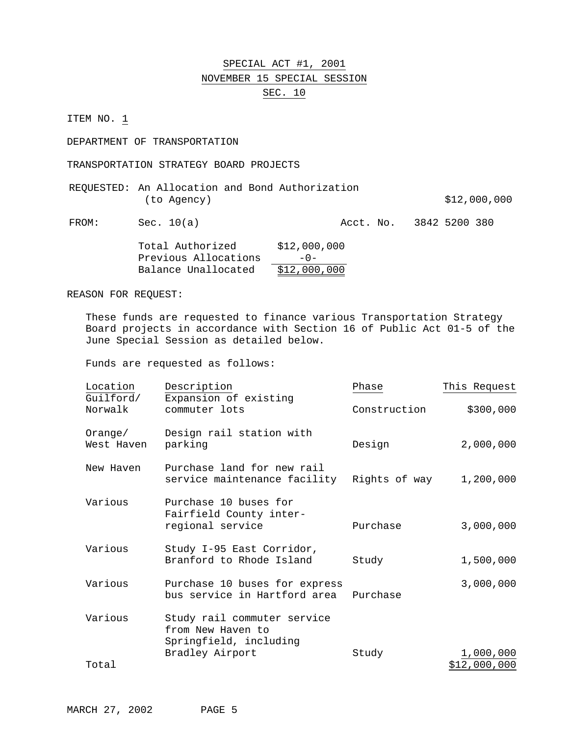### SPECIAL ACT #1, 2001 NOVEMBER 15 SPECIAL SESSION SEC. 10

ITEM NO. 1

DEPARTMENT OF TRANSPORTATION

TRANSPORTATION STRATEGY BOARD PROJECTS

|             |  | REQUESTED: An Allocation and Bond Authorization |              |
|-------------|--|-------------------------------------------------|--------------|
| (to Agency) |  |                                                 | \$12,000,000 |
|             |  |                                                 |              |

FROM: Sec. 10(a) <br>Rect. No. 3842 5200 380

| Total Authorized     | \$12,000,000 |
|----------------------|--------------|
| Previous Allocations | $-0-$        |
| Balance Unallocated  | \$12,000,000 |

REASON FOR REQUEST:

These funds are requested to finance various Transportation Strategy Board projects in accordance with Section 16 of Public Act 01-5 of the June Special Session as detailed below.

| Location              | Description                                                                                   | Phase         | This Request |
|-----------------------|-----------------------------------------------------------------------------------------------|---------------|--------------|
| Guilford/<br>Norwalk  | Expansion of existing<br>commuter lots                                                        | Construction  | \$300,000    |
| Orange/<br>West Haven | Design rail station with<br>parking                                                           | Design        | 2,000,000    |
| New Haven             | Purchase land for new rail<br>service maintenance facility                                    | Rights of way | 1,200,000    |
| Various               | Purchase 10 buses for<br>Fairfield County inter-<br>regional service                          | Purchase      | 3,000,000    |
| Various               | Study I-95 East Corridor,<br>Branford to Rhode Island                                         | Study         | 1,500,000    |
| Various               | Purchase 10 buses for express<br>bus service in Hartford area                                 | Purchase      | 3,000,000    |
| Various               | Study rail commuter service<br>from New Haven to<br>Springfield, including<br>Bradley Airport | Study         | 1,000,000    |
| Total                 |                                                                                               |               | \$12,000,000 |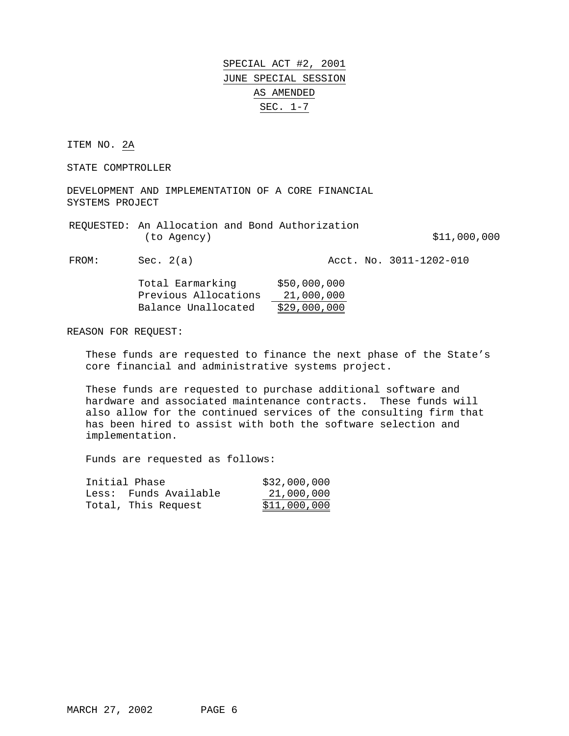ITEM NO. 2A

STATE COMPTROLLER

DEVELOPMENT AND IMPLEMENTATION OF A CORE FINANCIAL SYSTEMS PROJECT

| REQUESTED: An Allocation and Bond Authorization |              |
|-------------------------------------------------|--------------|
| (to Agency)                                     | \$11,000,000 |

FROM: Sec. 2(a) Acct. No. 3011-1202-010

| Total Earmarking     | \$50,000,000 |
|----------------------|--------------|
| Previous Allocations | 21,000,000   |
| Balance Unallocated  | \$29,000,000 |

REASON FOR REQUEST:

These funds are requested to finance the next phase of the State's core financial and administrative systems project.

These funds are requested to purchase additional software and hardware and associated maintenance contracts. These funds will also allow for the continued services of the consulting firm that has been hired to assist with both the software selection and implementation.

| Initial Phase         | \$32,000,000 |
|-----------------------|--------------|
| Less: Funds Available | 21,000,000   |
| Total, This Request   | \$11,000,000 |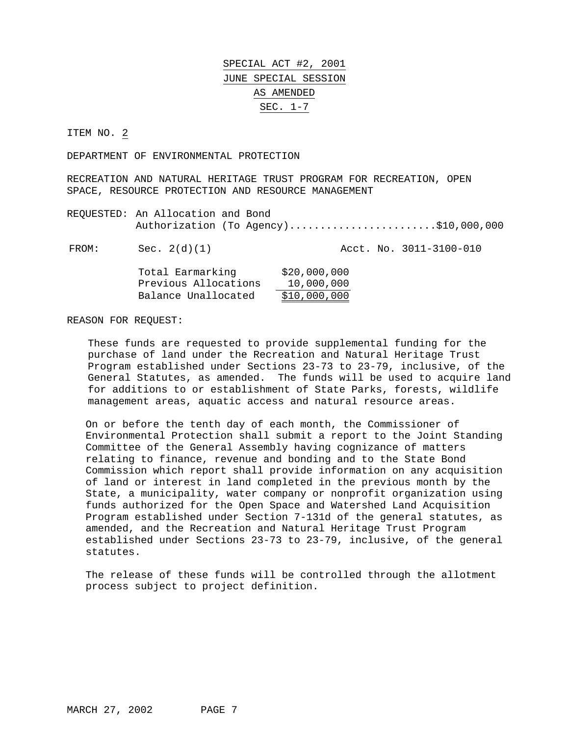ITEM NO. 2

DEPARTMENT OF ENVIRONMENTAL PROTECTION

RECREATION AND NATURAL HERITAGE TRUST PROGRAM FOR RECREATION, OPEN SPACE, RESOURCE PROTECTION AND RESOURCE MANAGEMENT

REQUESTED: An Allocation and Bond Authorization (To Agency)........................\$10,000,000

FROM: Sec. 2(d)(1) Acct. No. 3011-3100-010

| Total Earmarking     | \$20,000,000 |
|----------------------|--------------|
| Previous Allocations | 10,000,000   |
| Balance Unallocated  | \$10,000,000 |

#### REASON FOR REQUEST:

These funds are requested to provide supplemental funding for the purchase of land under the Recreation and Natural Heritage Trust Program established under Sections 23-73 to 23-79, inclusive, of the General Statutes, as amended. The funds will be used to acquire land for additions to or establishment of State Parks, forests, wildlife management areas, aquatic access and natural resource areas.

On or before the tenth day of each month, the Commissioner of Environmental Protection shall submit a report to the Joint Standing Committee of the General Assembly having cognizance of matters relating to finance, revenue and bonding and to the State Bond Commission which report shall provide information on any acquisition of land or interest in land completed in the previous month by the State, a municipality, water company or nonprofit organization using funds authorized for the Open Space and Watershed Land Acquisition Program established under Section 7-131d of the general statutes, as amended, and the Recreation and Natural Heritage Trust Program established under Sections 23-73 to 23-79, inclusive, of the general statutes.

The release of these funds will be controlled through the allotment process subject to project definition.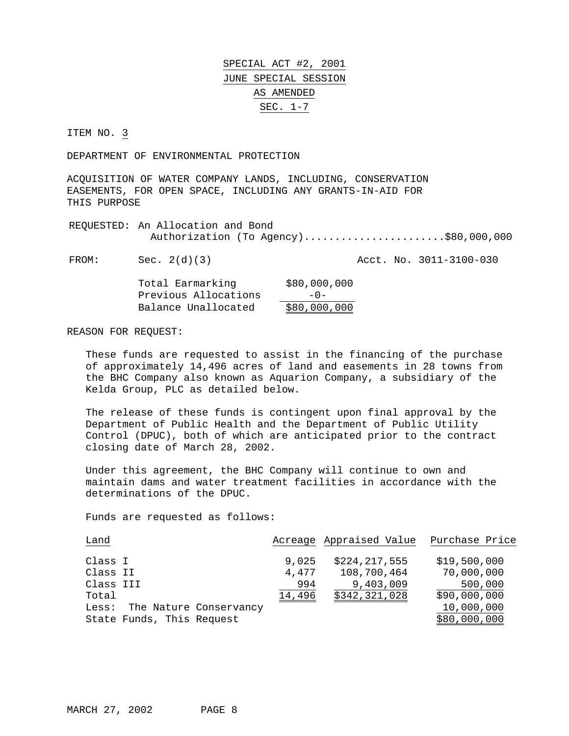ITEM NO. 3

DEPARTMENT OF ENVIRONMENTAL PROTECTION

ACQUISITION OF WATER COMPANY LANDS, INCLUDING, CONSERVATION EASEMENTS, FOR OPEN SPACE, INCLUDING ANY GRANTS-IN-AID FOR THIS PURPOSE

REQUESTED: An Allocation and Bond Authorization (To Agency).......................\$80,000,000

FROM: Sec. 2(d)(3) Acct. No. 3011-3100-030

| Total Earmarking     | \$80,000,000 |
|----------------------|--------------|
| Previous Allocations | $-0-$        |
| Balance Unallocated  | \$80,000,000 |

REASON FOR REQUEST:

These funds are requested to assist in the financing of the purchase of approximately 14,496 acres of land and easements in 28 towns from the BHC Company also known as Aquarion Company, a subsidiary of the Kelda Group, PLC as detailed below.

The release of these funds is contingent upon final approval by the Department of Public Health and the Department of Public Utility Control (DPUC), both of which are anticipated prior to the contract closing date of March 28, 2002.

Under this agreement, the BHC Company will continue to own and maintain dams and water treatment facilities in accordance with the determinations of the DPUC.

| Land      |                              |        | Acreage Appraised Value | Purchase Price |
|-----------|------------------------------|--------|-------------------------|----------------|
| Class I   |                              | 9,025  | \$224,217,555           | \$19,500,000   |
| Class II  |                              | 4,477  | 108,700,464             | 70,000,000     |
| Class III |                              | 994    | 9,403,009               | 500,000        |
| Total     |                              | 14,496 | \$342,321,028           | \$90,000,000   |
|           | Less: The Nature Conservancy |        |                         | 10,000,000     |
|           | State Funds, This Request    |        |                         | \$80,000,000   |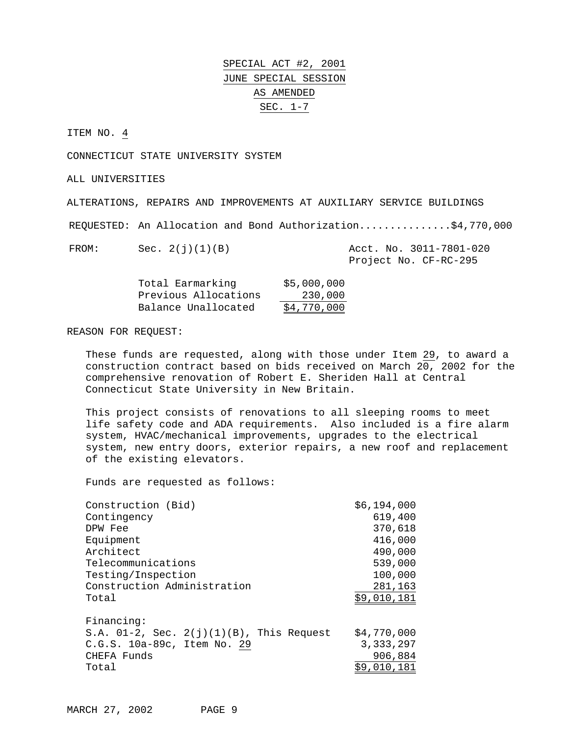ITEM NO. 4

CONNECTICUT STATE UNIVERSITY SYSTEM

ALL UNIVERSITIES

ALTERATIONS, REPAIRS AND IMPROVEMENTS AT AUXILIARY SERVICE BUILDINGS

REQUESTED: An Allocation and Bond Authorization...............\$4,770,000

FROM: Sec. 2(j)(1)(B) Acct. No. 3011-7801-020 Project No. CF-RC-295

| Total Earmarking     | \$5,000,000 |
|----------------------|-------------|
| Previous Allocations | 230,000     |
| Balance Unallocated  | \$4,770,000 |

#### REASON FOR REQUEST:

These funds are requested, along with those under Item 29, to award a construction contract based on bids received on March 20, 2002 for the comprehensive renovation of Robert E. Sheriden Hall at Central Connecticut State University in New Britain.

This project consists of renovations to all sleeping rooms to meet life safety code and ADA requirements. Also included is a fire alarm system, HVAC/mechanical improvements, upgrades to the electrical system, new entry doors, exterior repairs, a new roof and replacement of the existing elevators.

| Construction (Bid)                             | \$6,194,000 |
|------------------------------------------------|-------------|
| Contingency                                    | 619,400     |
| DPW Fee                                        | 370,618     |
| Equipment                                      | 416,000     |
| Architect                                      | 490,000     |
| Telecommunications                             | 539,000     |
| Testing/Inspection                             | 100,000     |
| Construction Administration                    | 281,163     |
| Total                                          | \$9,010,181 |
|                                                |             |
| Financing:                                     |             |
| S.A. $01-2$ , Sec. $2(j)(1)(B)$ , This Request | \$4,770,000 |
| C.G.S. 10a-89c, Item No. 29                    | 3, 333, 297 |
| CHEFA Funds                                    | 906,884     |
| Total                                          | \$9,010,181 |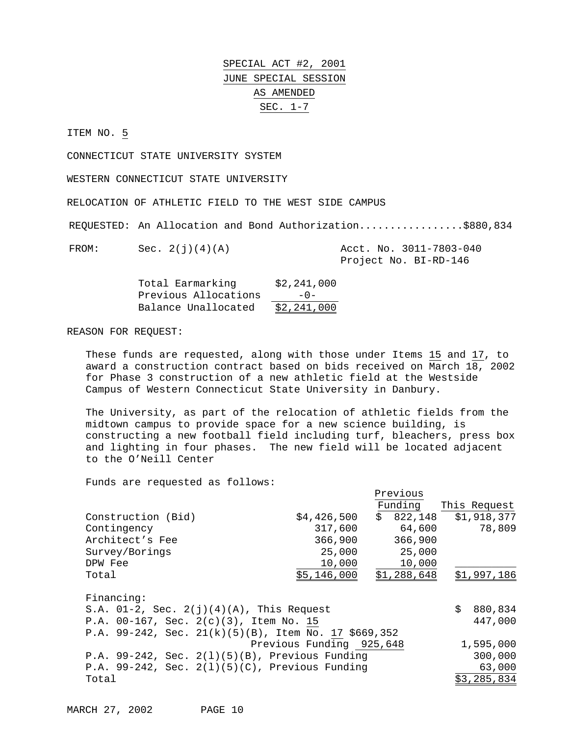ITEM NO. 5

CONNECTICUT STATE UNIVERSITY SYSTEM

WESTERN CONNECTICUT STATE UNIVERSITY

RELOCATION OF ATHLETIC FIELD TO THE WEST SIDE CAMPUS

REQUESTED: An Allocation and Bond Authorization.................\$880,834

FROM: Sec. 2(j)(4)(A) Acct. No. 3011-7803-040 Project No. BI-RD-146

| Total Earmarking     | \$2,241,000 |
|----------------------|-------------|
| Previous Allocations | $-0-$       |
| Balance Unallocated  | \$2,241,000 |

REASON FOR REQUEST:

These funds are requested, along with those under Items 15 and 17, to award a construction contract based on bids received on March 18, 2002 for Phase 3 construction of a new athletic field at the Westside Campus of Western Connecticut State University in Danbury.

The University, as part of the relocation of athletic fields from the midtown campus to provide space for a new science building, is constructing a new football field including turf, bleachers, press box and lighting in four phases. The new field will be located adjacent to the O'Neill Center

Funds are requested as follows:

|                                                      |                          | Previous    |               |
|------------------------------------------------------|--------------------------|-------------|---------------|
|                                                      |                          | Funding     | This Request  |
| Construction (Bid)                                   | \$4,426,500              | \$822,148   | \$1,918,377   |
| Contingency                                          | 317,600                  | 64,600      | 78,809        |
| Architect's Fee                                      | 366,900                  | 366,900     |               |
| Survey/Borings                                       | 25,000                   | 25,000      |               |
| DPW Fee                                              | 10,000                   | 10,000      |               |
| Total                                                | \$5,146,000              | \$1,288,648 | \$1,997,186   |
| Financing:                                           |                          |             |               |
| S.A. $01-2$ , Sec. $2(j)(4)(A)$ , This Request       |                          |             | \$<br>880,834 |
| P.A. $00-167$ , Sec. $2(c)(3)$ , Item No. 15         |                          |             | 447,000       |
| P.A. 99-242, Sec. 21(k)(5)(B), Item No. 17 \$669,352 |                          |             |               |
|                                                      | Previous Funding 925,648 |             | 1,595,000     |
| P.A. $99-242$ , Sec. $2(1)(5)(B)$ , Previous Funding |                          |             | 300,000       |
| P.A. 99-242, Sec. $2(1)(5)(C)$ , Previous Funding    |                          |             | 63,000        |
| Total                                                |                          |             | \$3,285,834   |

MARCH 27, 2002 PAGE 10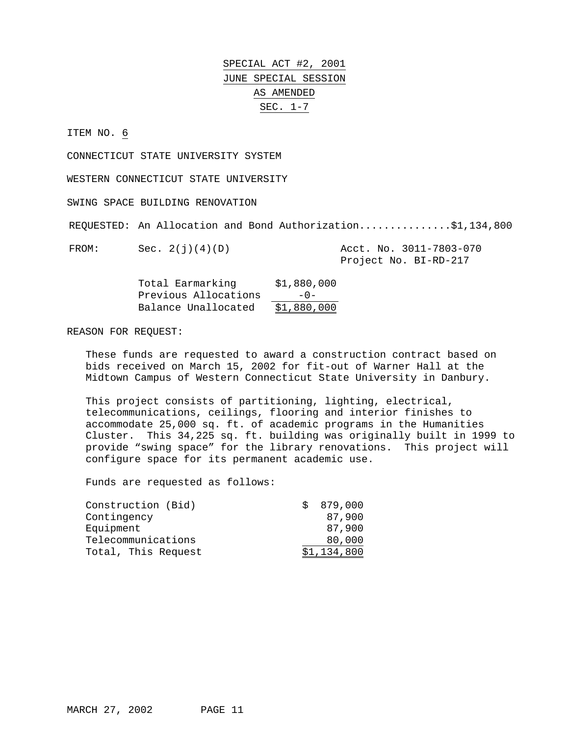ITEM NO. 6

CONNECTICUT STATE UNIVERSITY SYSTEM

WESTERN CONNECTICUT STATE UNIVERSITY

SWING SPACE BUILDING RENOVATION

REQUESTED: An Allocation and Bond Authorization...............\$1,134,800

FROM: Sec. 2(j)(4)(D) Acct. No. 3011-7803-070

Project No. BI-RD-217

| Total Earmarking     | \$1,880,000 |
|----------------------|-------------|
| Previous Allocations | $-0-$       |
| Balance Unallocated  | \$1,880,000 |

### REASON FOR REQUEST:

These funds are requested to award a construction contract based on bids received on March 15, 2002 for fit-out of Warner Hall at the Midtown Campus of Western Connecticut State University in Danbury.

This project consists of partitioning, lighting, electrical, telecommunications, ceilings, flooring and interior finishes to accommodate 25,000 sq. ft. of academic programs in the Humanities Cluster. This 34,225 sq. ft. building was originally built in 1999 to provide "swing space" for the library renovations. This project will configure space for its permanent academic use.

| Construction (Bid)  | 879,000     |
|---------------------|-------------|
| Contingency         | 87,900      |
| Equipment           | 87,900      |
| Telecommunications  | 80,000      |
| Total, This Request | \$1,134,800 |
|                     |             |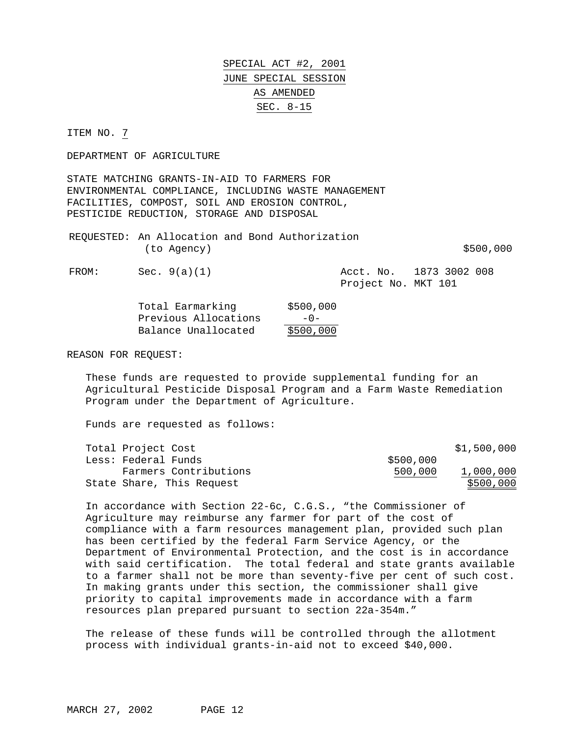ITEM NO. 7

DEPARTMENT OF AGRICULTURE

STATE MATCHING GRANTS-IN-AID TO FARMERS FOR ENVIRONMENTAL COMPLIANCE, INCLUDING WASTE MANAGEMENT FACILITIES, COMPOST, SOIL AND EROSION CONTROL, PESTICIDE REDUCTION, STORAGE AND DISPOSAL

REQUESTED: An Allocation and Bond Authorization  $(to \text{ Agency})$   $$500,000$ 

FROM: Sec. 9(a)(1) Acct. No. 1873 3002 008 Project No. MKT 101

| Total Earmarking     | \$500,000 |
|----------------------|-----------|
| Previous Allocations | $-0-$     |
| Balance Unallocated  | \$500,000 |

REASON FOR REQUEST:

These funds are requested to provide supplemental funding for an Agricultural Pesticide Disposal Program and a Farm Waste Remediation Program under the Department of Agriculture.

Funds are requested as follows:

| Total Project Cost  |                           |           | \$1,500,000 |
|---------------------|---------------------------|-----------|-------------|
| Less: Federal Funds |                           | \$500,000 |             |
|                     | Farmers Contributions     | 500,000   | 1,000,000   |
|                     | State Share, This Request |           | \$500,000   |

In accordance with Section 22-6c, C.G.S., "the Commissioner of Agriculture may reimburse any farmer for part of the cost of compliance with a farm resources management plan, provided such plan has been certified by the federal Farm Service Agency, or the Department of Environmental Protection, and the cost is in accordance with said certification. The total federal and state grants available to a farmer shall not be more than seventy-five per cent of such cost. In making grants under this section, the commissioner shall give priority to capital improvements made in accordance with a farm resources plan prepared pursuant to section 22a-354m."

The release of these funds will be controlled through the allotment process with individual grants-in-aid not to exceed \$40,000.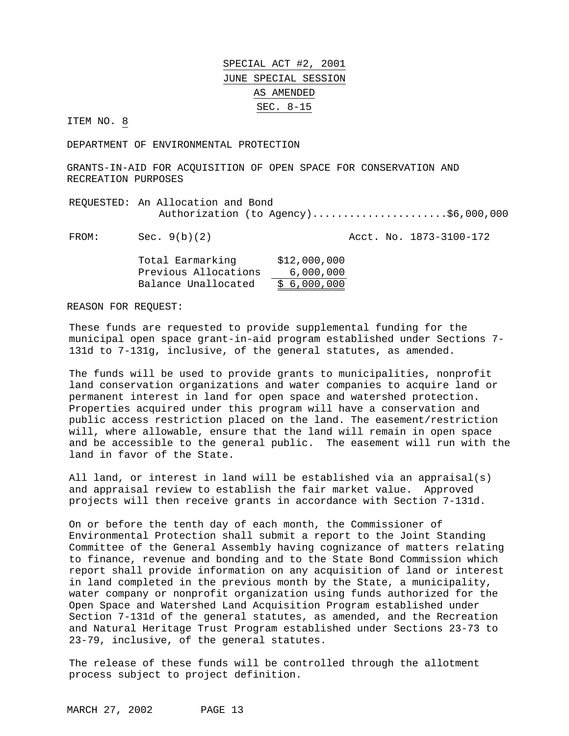ITEM NO. 8

DEPARTMENT OF ENVIRONMENTAL PROTECTION

GRANTS-IN-AID FOR ACQUISITION OF OPEN SPACE FOR CONSERVATION AND RECREATION PURPOSES

REQUESTED: An Allocation and Bond Authorization (to Agency)........................\$6,000,000

FROM: Sec. 9(b)(2) Acct. No. 1873-3100-172

| Total Earmarking     | \$12,000,000 |
|----------------------|--------------|
| Previous Allocations | 6,000,000    |
| Balance Unallocated  | \$6,000,000  |

REASON FOR REQUEST:

These funds are requested to provide supplemental funding for the municipal open space grant-in-aid program established under Sections 7- 131d to 7-131g, inclusive, of the general statutes, as amended.

The funds will be used to provide grants to municipalities, nonprofit land conservation organizations and water companies to acquire land or permanent interest in land for open space and watershed protection. Properties acquired under this program will have a conservation and public access restriction placed on the land. The easement/restriction will, where allowable, ensure that the land will remain in open space and be accessible to the general public. The easement will run with the land in favor of the State.

All land, or interest in land will be established via an appraisal(s) and appraisal review to establish the fair market value. Approved projects will then receive grants in accordance with Section 7-131d.

On or before the tenth day of each month, the Commissioner of Environmental Protection shall submit a report to the Joint Standing Committee of the General Assembly having cognizance of matters relating to finance, revenue and bonding and to the State Bond Commission which report shall provide information on any acquisition of land or interest in land completed in the previous month by the State, a municipality, water company or nonprofit organization using funds authorized for the Open Space and Watershed Land Acquisition Program established under Section 7-131d of the general statutes, as amended, and the Recreation and Natural Heritage Trust Program established under Sections 23-73 to 23-79, inclusive, of the general statutes.

The release of these funds will be controlled through the allotment process subject to project definition.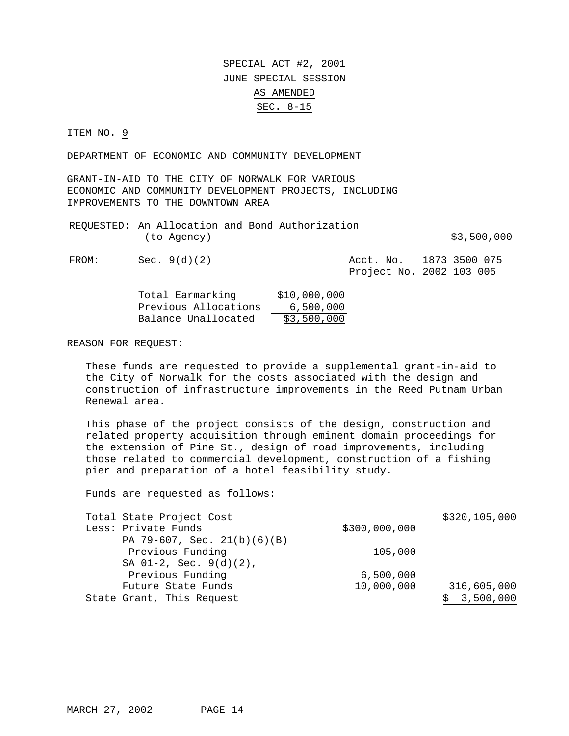ITEM NO. 9

DEPARTMENT OF ECONOMIC AND COMMUNITY DEVELOPMENT

GRANT-IN-AID TO THE CITY OF NORWALK FOR VARIOUS ECONOMIC AND COMMUNITY DEVELOPMENT PROJECTS, INCLUDING IMPROVEMENTS TO THE DOWNTOWN AREA

|       | (to Agency)  | REQUESTED: An Allocation and Bond Authorization | \$3,500,000                                         |
|-------|--------------|-------------------------------------------------|-----------------------------------------------------|
| FROM: | Sec. 9(d)(2) |                                                 | Acct. No. 1873 3500 075<br>Project No. 2002 103 005 |

| Total Earmarking     | \$10,000,000 |
|----------------------|--------------|
| Previous Allocations | 6,500,000    |
| Balance Unallocated  | \$3,500,000  |

REASON FOR REQUEST:

These funds are requested to provide a supplemental grant-in-aid to the City of Norwalk for the costs associated with the design and construction of infrastructure improvements in the Reed Putnam Urban Renewal area.

This phase of the project consists of the design, construction and related property acquisition through eminent domain proceedings for the extension of Pine St., design of road improvements, including those related to commercial development, construction of a fishing pier and preparation of a hotel feasibility study.

| Total State Project Cost      |               | \$320,105,000 |
|-------------------------------|---------------|---------------|
| Less: Private Funds           | \$300,000,000 |               |
| PA 79-607, Sec. $21(b)(6)(B)$ |               |               |
| Previous Funding              | 105,000       |               |
| SA $01-2$ , Sec. $9(d)(2)$ ,  |               |               |
| Previous Funding              | 6,500,000     |               |
| Future State Funds            | 10,000,000    | 316,605,000   |
| State Grant, This Request     |               | 3,500,000     |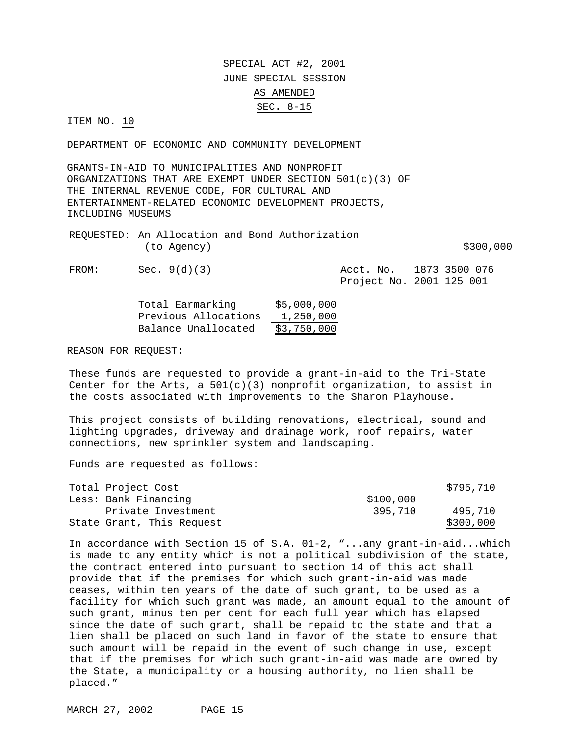ITEM NO. 10

DEPARTMENT OF ECONOMIC AND COMMUNITY DEVELOPMENT

GRANTS-IN-AID TO MUNICIPALITIES AND NONPROFIT ORGANIZATIONS THAT ARE EXEMPT UNDER SECTION  $501(c)(3)$  OF THE INTERNAL REVENUE CODE, FOR CULTURAL AND ENTERTAINMENT-RELATED ECONOMIC DEVELOPMENT PROJECTS, INCLUDING MUSEUMS

REQUESTED: An Allocation and Bond Authorization  $(to \text{ Agency})$  \$300,000

FROM: Sec. 9(d)(3) Acct. No. 1873 3500 076 Project No. 2001 125 001

| Total Earmarking     | \$5,000,000 |
|----------------------|-------------|
| Previous Allocations | 1,250,000   |
| Balance Unallocated  | \$3,750,000 |

REASON FOR REQUEST:

These funds are requested to provide a grant-in-aid to the Tri-State Center for the Arts, a  $501(c)(3)$  nonprofit organization, to assist in the costs associated with improvements to the Sharon Playhouse.

This project consists of building renovations, electrical, sound and lighting upgrades, driveway and drainage work, roof repairs, water connections, new sprinkler system and landscaping.

Funds are requested as follows:

| Total Project Cost        |           | \$795,710 |
|---------------------------|-----------|-----------|
| Less: Bank Financing      | \$100,000 |           |
| Private Investment        | 395,710   | 495,710   |
| State Grant, This Request |           | \$300,000 |

In accordance with Section 15 of S.A. 01-2, "...any grant-in-aid...which is made to any entity which is not a political subdivision of the state, the contract entered into pursuant to section 14 of this act shall provide that if the premises for which such grant-in-aid was made ceases, within ten years of the date of such grant, to be used as a facility for which such grant was made, an amount equal to the amount of such grant, minus ten per cent for each full year which has elapsed since the date of such grant, shall be repaid to the state and that a lien shall be placed on such land in favor of the state to ensure that such amount will be repaid in the event of such change in use, except that if the premises for which such grant-in-aid was made are owned by the State, a municipality or a housing authority, no lien shall be placed."

MARCH 27, 2002 PAGE 15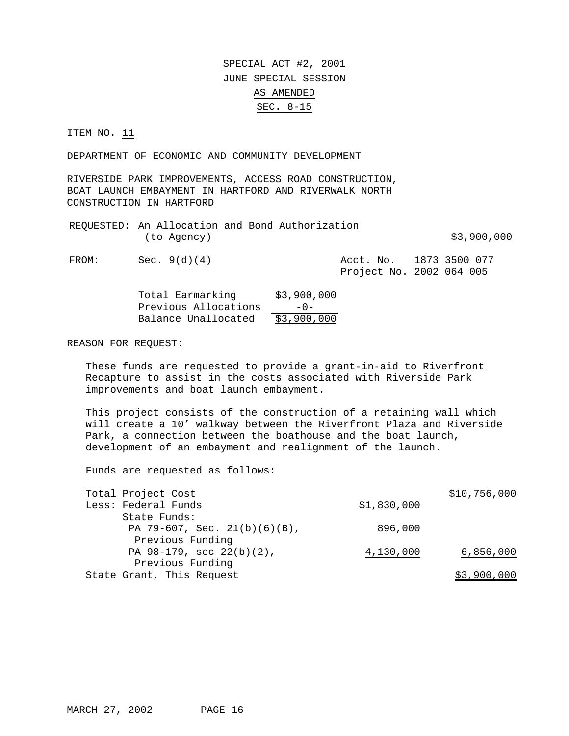ITEM NO. 11

DEPARTMENT OF ECONOMIC AND COMMUNITY DEVELOPMENT

RIVERSIDE PARK IMPROVEMENTS, ACCESS ROAD CONSTRUCTION, BOAT LAUNCH EMBAYMENT IN HARTFORD AND RIVERWALK NORTH CONSTRUCTION IN HARTFORD

|             | REQUESTED: An Allocation and Bond Authorization |             |
|-------------|-------------------------------------------------|-------------|
| (to Agency) |                                                 | \$3,900,000 |

FROM: Sec. 9(d)(4) Acct. No. 1873 3500 077

Project No. 2002 064 005

| Total Earmarking     | \$3,900,000 |
|----------------------|-------------|
| Previous Allocations | $-0-$       |
| Balance Unallocated  | \$3,900,000 |

REASON FOR REQUEST:

These funds are requested to provide a grant-in-aid to Riverfront Recapture to assist in the costs associated with Riverside Park improvements and boat launch embayment.

This project consists of the construction of a retaining wall which will create a 10' walkway between the Riverfront Plaza and Riverside Park, a connection between the boathouse and the boat launch, development of an embayment and realignment of the launch.

| Total Project Cost              |             | \$10,756,000 |
|---------------------------------|-------------|--------------|
| Less: Federal Funds             | \$1,830,000 |              |
| State Funds:                    |             |              |
| PA 79-607, Sec. $21(b)(6)(B)$ , | 896,000     |              |
| Previous Funding                |             |              |
| PA $98-179$ , sec $22(b)(2)$ ,  | 4,130,000   | 6,856,000    |
| Previous Funding                |             |              |
| State Grant, This Request       |             | \$3,900,000  |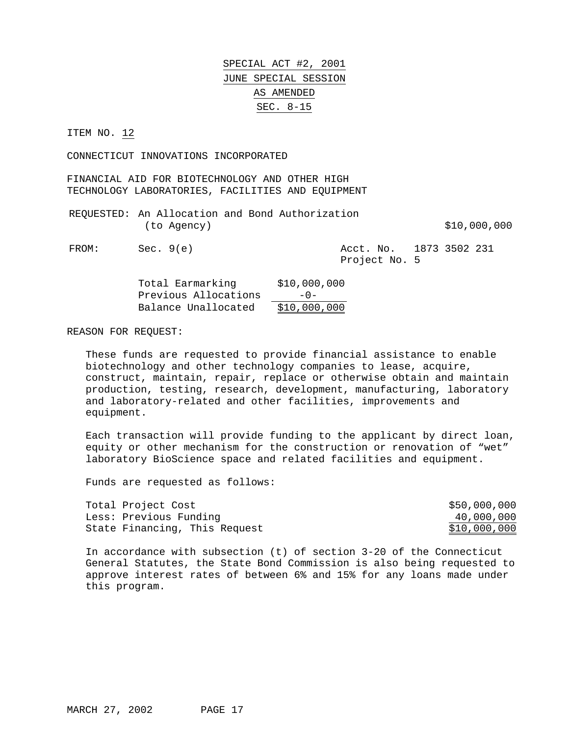ITEM NO. 12

CONNECTICUT INNOVATIONS INCORPORATED

FINANCIAL AID FOR BIOTECHNOLOGY AND OTHER HIGH TECHNOLOGY LABORATORIES, FACILITIES AND EQUIPMENT

REQUESTED: An Allocation and Bond Authorization (to Agency)  $$10,000,000$ 

FROM: Sec. 9(e) 231 Acct. No. 1873 3502 231 Project No. 5

| Total Earmarking     | \$10,000,000 |
|----------------------|--------------|
| Previous Allocations | $-0-$        |
| Balance Unallocated  | \$10,000,000 |

REASON FOR REQUEST:

These funds are requested to provide financial assistance to enable biotechnology and other technology companies to lease, acquire, construct, maintain, repair, replace or otherwise obtain and maintain production, testing, research, development, manufacturing, laboratory and laboratory-related and other facilities, improvements and equipment.

Each transaction will provide funding to the applicant by direct loan, equity or other mechanism for the construction or renovation of "wet" laboratory BioScience space and related facilities and equipment.

Funds are requested as follows:

| Total Project Cost            | \$50,000,000 |
|-------------------------------|--------------|
| Less: Previous Funding        | 40,000,000   |
| State Financing, This Request | \$10,000,000 |

In accordance with subsection (t) of section 3-20 of the Connecticut General Statutes, the State Bond Commission is also being requested to approve interest rates of between 6% and 15% for any loans made under this program.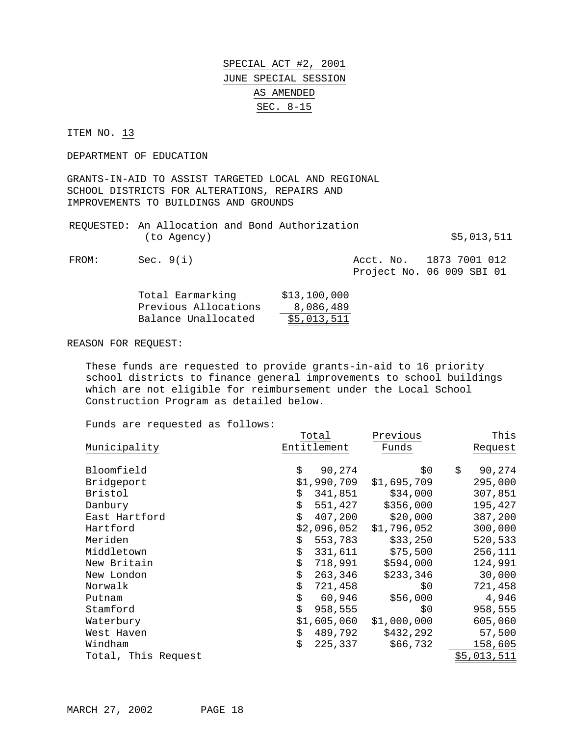ITEM NO. 13

DEPARTMENT OF EDUCATION

GRANTS-IN-AID TO ASSIST TARGETED LOCAL AND REGIONAL SCHOOL DISTRICTS FOR ALTERATIONS, REPAIRS AND IMPROVEMENTS TO BUILDINGS AND GROUNDS

|       |             | (to Agency) |  | REQUESTED: An Allocation and Bond Authorization |                         | \$5,013,511 |  |
|-------|-------------|-------------|--|-------------------------------------------------|-------------------------|-------------|--|
| FROM: | Sec. $9(i)$ |             |  |                                                 | Acct. No. 1873 7001 012 |             |  |

| Project No. 06 009 SBI 01 |  |  |  |
|---------------------------|--|--|--|
|---------------------------|--|--|--|

| Total Earmarking     | \$13,100,000 |
|----------------------|--------------|
| Previous Allocations | 8,086,489    |
| Balance Unallocated  | \$5,013,511  |

REASON FOR REQUEST:

These funds are requested to provide grants-in-aid to 16 priority school districts to finance general improvements to school buildings which are not eligible for reimbursement under the Local School Construction Program as detailed below.

|                     | Total         | Previous    | This         |
|---------------------|---------------|-------------|--------------|
| Municipality        | Entitlement   | Funds       | Request      |
|                     |               |             |              |
| Bloomfield          | \$<br>90,274  | \$0         | \$<br>90,274 |
| Bridgeport          | \$1,990,709   | \$1,695,709 | 295,000      |
| Bristol             | \$<br>341,851 | \$34,000    | 307,851      |
| Danbury             | \$<br>551,427 | \$356,000   | 195,427      |
| East Hartford       | \$<br>407,200 | \$20,000    | 387,200      |
| Hartford            | \$2,096,052   | \$1,796,052 | 300,000      |
| Meriden             | \$<br>553,783 | \$33,250    | 520,533      |
| Middletown          | \$<br>331,611 | \$75,500    | 256,111      |
| New Britain         | \$<br>718,991 | \$594,000   | 124,991      |
| New London          | \$<br>263,346 | \$233,346   | 30,000       |
| Norwalk             | \$<br>721,458 | \$0         | 721,458      |
| Putnam              | \$<br>60,946  | \$56,000    | 4,946        |
| Stamford            | \$<br>958,555 | \$0         | 958,555      |
| Waterbury           | \$1,605,060   | \$1,000,000 | 605,060      |
| West Haven          | \$<br>489,792 | \$432,292   | 57,500       |
| Windham             | \$<br>225,337 | \$66,732    | 158,605      |
| Total, This Request |               |             | \$5,013,511  |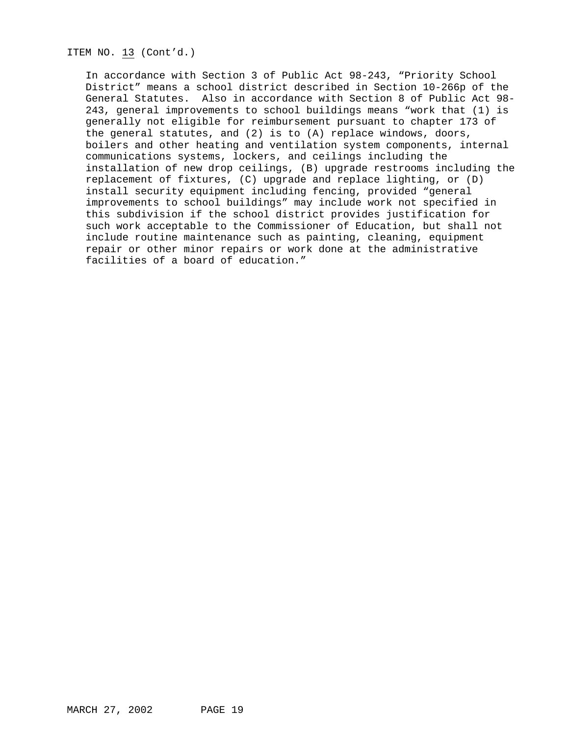ITEM NO. 13 (Cont'd.)

In accordance with Section 3 of Public Act 98-243, "Priority School District" means a school district described in Section 10-266p of the General Statutes. Also in accordance with Section 8 of Public Act 98- 243, general improvements to school buildings means "work that (1) is generally not eligible for reimbursement pursuant to chapter 173 of the general statutes, and (2) is to (A) replace windows, doors, boilers and other heating and ventilation system components, internal communications systems, lockers, and ceilings including the installation of new drop ceilings, (B) upgrade restrooms including the replacement of fixtures, (C) upgrade and replace lighting, or (D) install security equipment including fencing, provided "general improvements to school buildings" may include work not specified in this subdivision if the school district provides justification for such work acceptable to the Commissioner of Education, but shall not include routine maintenance such as painting, cleaning, equipment repair or other minor repairs or work done at the administrative facilities of a board of education."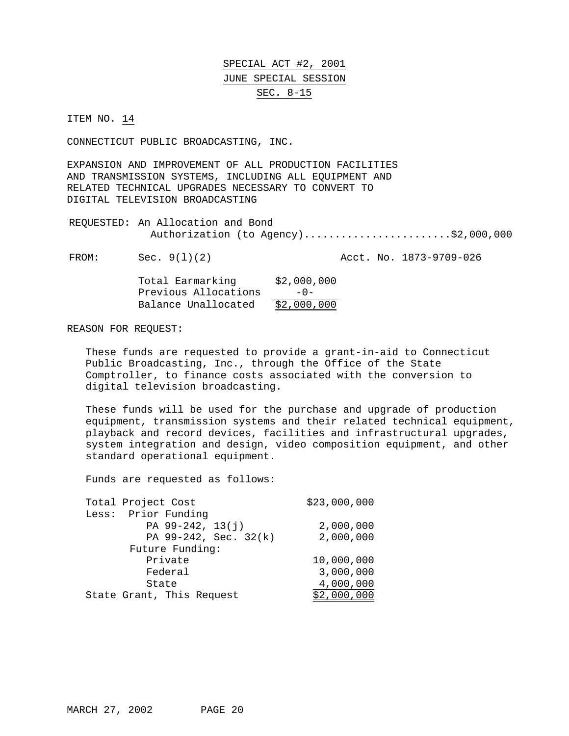ITEM NO. 14

CONNECTICUT PUBLIC BROADCASTING, INC.

EXPANSION AND IMPROVEMENT OF ALL PRODUCTION FACILITIES AND TRANSMISSION SYSTEMS, INCLUDING ALL EQUIPMENT AND RELATED TECHNICAL UPGRADES NECESSARY TO CONVERT TO DIGITAL TELEVISION BROADCASTING

REQUESTED: An Allocation and Bond Authorization (to Agency).........................\$2,000,000

FROM: Sec. 9(1)(2) Acct. No. 1873-9709-026

| Total Earmarking     | \$2,000,000 |
|----------------------|-------------|
| Previous Allocations | $-0-$       |
| Balance Unallocated  | \$2,000,000 |

### REASON FOR REQUEST:

These funds are requested to provide a grant-in-aid to Connecticut Public Broadcasting, Inc., through the Office of the State Comptroller, to finance costs associated with the conversion to digital television broadcasting.

These funds will be used for the purchase and upgrade of production equipment, transmission systems and their related technical equipment, playback and record devices, facilities and infrastructural upgrades, system integration and design, video composition equipment, and other standard operational equipment.

| Total Project Cost        | \$23,000,000 |
|---------------------------|--------------|
| Less: Prior Funding       |              |
| PA $99-242$ , $13(j)$     | 2,000,000    |
| PA 99-242, Sec. 32(k)     | 2,000,000    |
| Future Funding:           |              |
| Private                   | 10,000,000   |
| Federal                   | 3,000,000    |
| State                     | 4,000,000    |
| State Grant, This Request | \$2,000,000  |
|                           |              |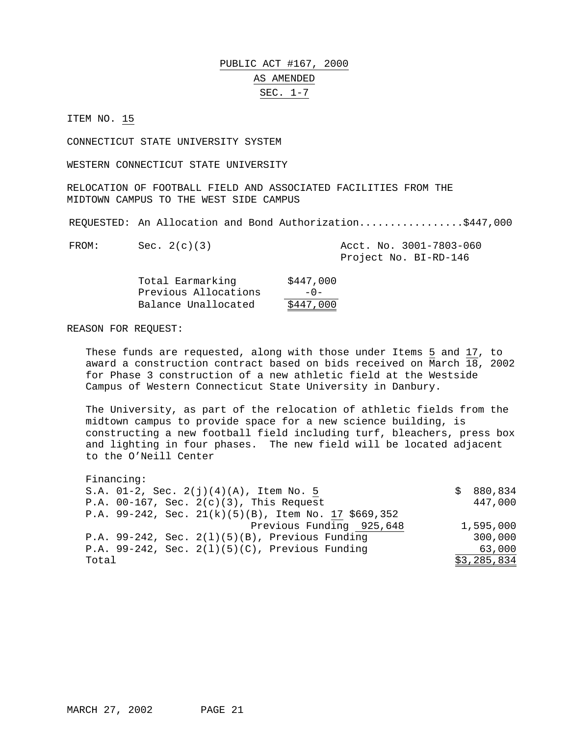# PUBLIC ACT #167, 2000 AS AMENDED SEC. 1-7

ITEM NO. 15

CONNECTICUT STATE UNIVERSITY SYSTEM

WESTERN CONNECTICUT STATE UNIVERSITY

RELOCATION OF FOOTBALL FIELD AND ASSOCIATED FACILITIES FROM THE MIDTOWN CAMPUS TO THE WEST SIDE CAMPUS

REQUESTED: An Allocation and Bond Authorization.................\$447,000

FROM: Sec. 2(c)(3) Acct. No. 3001-7803-060 Project No. BI-RD-146

| Total Earmarking     | \$447,000 |
|----------------------|-----------|
| Previous Allocations | $-0-$     |
| Balance Unallocated  | \$447,000 |

### REASON FOR REQUEST:

These funds are requested, along with those under Items 5 and 17, to award a construction contract based on bids received on March 18, 2002 for Phase 3 construction of a new athletic field at the Westside Campus of Western Connecticut State University in Danbury.

The University, as part of the relocation of athletic fields from the midtown campus to provide space for a new science building, is constructing a new football field including turf, bleachers, press box and lighting in four phases. The new field will be located adjacent to the O'Neill Center

| Financing:                                              |   |             |
|---------------------------------------------------------|---|-------------|
| S.A. $01-2$ , Sec. $2(j)(4)(A)$ , Item No. 5            | S | 880,834     |
| P.A. $00-167$ , Sec. $2(c)(3)$ , This Request           |   | 447,000     |
| P.A. 99-242, Sec. $21(k)(5)(B)$ , Item No. 17 \$669,352 |   |             |
| Previous Funding 925,648                                |   | 1,595,000   |
| P.A. 99-242, Sec. $2(1)(5)(B)$ , Previous Funding       |   | 300,000     |
| P.A. 99-242, Sec. $2(1)(5)(C)$ , Previous Funding       |   | 63,000      |
| Total                                                   |   | \$3,285,834 |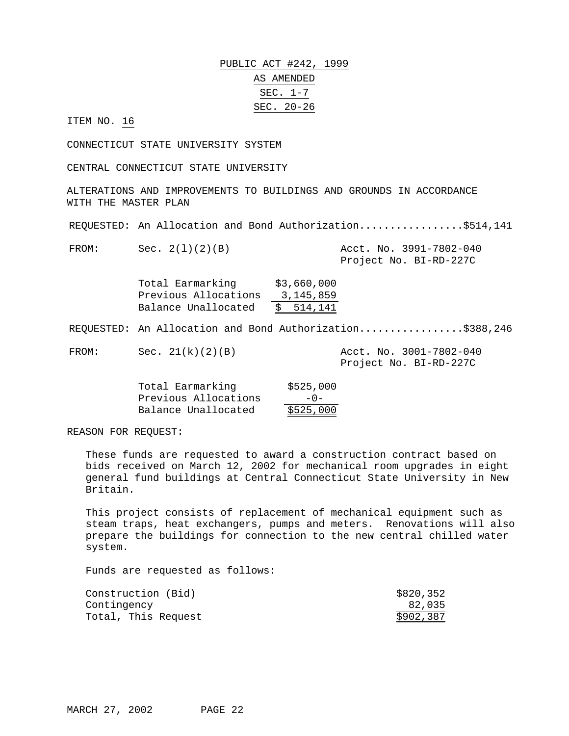PUBLIC ACT #242, 1999 AS AMENDED SEC. 1-7 SEC. 20-26

ITEM NO. 16

CONNECTICUT STATE UNIVERSITY SYSTEM

CENTRAL CONNECTICUT STATE UNIVERSITY

ALTERATIONS AND IMPROVEMENTS TO BUILDINGS AND GROUNDS IN ACCORDANCE WITH THE MASTER PLAN

REQUESTED: An Allocation and Bond Authorization..................\$514,141

FROM: Sec. 2(l)(2)(B) Acct. No. 3991-7802-040 Project No. BI-RD-227C

> Total Earmarking \$3,660,000 Previous Allocations 3,145,859 Balance Unallocated \$ 514,141

REQUESTED: An Allocation and Bond Authorization.................\$388,246

FROM: Sec. 21(k)(2)(B) Acct. No. 3001-7802-040

Project No. BI-RD-227C

| Total Earmarking     | \$525,000 |
|----------------------|-----------|
| Previous Allocations | $-0-$     |
| Balance Unallocated  | \$525,000 |

REASON FOR REQUEST:

These funds are requested to award a construction contract based on bids received on March 12, 2002 for mechanical room upgrades in eight general fund buildings at Central Connecticut State University in New Britain.

This project consists of replacement of mechanical equipment such as steam traps, heat exchangers, pumps and meters. Renovations will also prepare the buildings for connection to the new central chilled water system.

| Construction (Bid)  | \$820,352 |
|---------------------|-----------|
| Contingency         | 82,035    |
| Total, This Request | \$902,387 |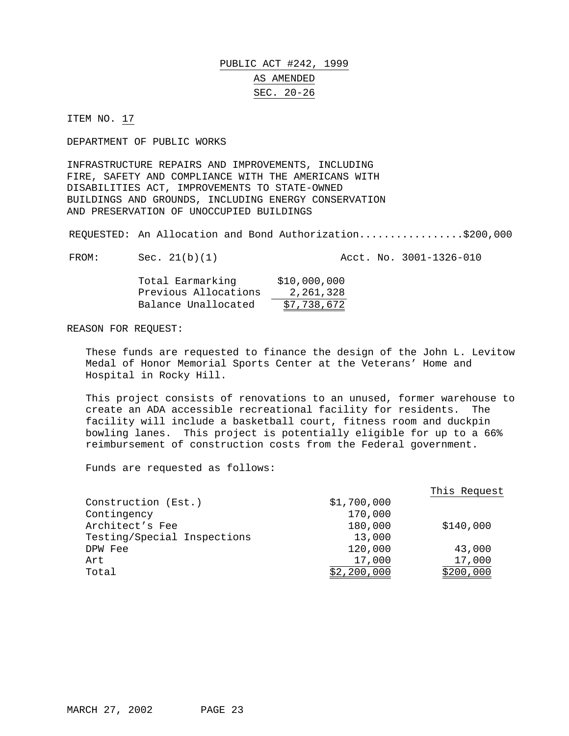# PUBLIC ACT #242, 1999 AS AMENDED SEC. 20-26

ITEM NO. 17

DEPARTMENT OF PUBLIC WORKS

INFRASTRUCTURE REPAIRS AND IMPROVEMENTS, INCLUDING FIRE, SAFETY AND COMPLIANCE WITH THE AMERICANS WITH DISABILITIES ACT, IMPROVEMENTS TO STATE-OWNED BUILDINGS AND GROUNDS, INCLUDING ENERGY CONSERVATION AND PRESERVATION OF UNOCCUPIED BUILDINGS

REQUESTED: An Allocation and Bond Authorization.................\$200,000

FROM: Sec. 21(b)(1) Acct. No. 3001-1326-010

| Total Earmarking     | \$10,000,000 |
|----------------------|--------------|
| Previous Allocations | 2,261,328    |
| Balance Unallocated  | \$7,738,672  |

REASON FOR REQUEST:

These funds are requested to finance the design of the John L. Levitow Medal of Honor Memorial Sports Center at the Veterans' Home and Hospital in Rocky Hill.

This project consists of renovations to an unused, former warehouse to create an ADA accessible recreational facility for residents. The facility will include a basketball court, fitness room and duckpin bowling lanes. This project is potentially eligible for up to a 66% reimbursement of construction costs from the Federal government.

|                             |             | This Request |
|-----------------------------|-------------|--------------|
| Construction (Est.)         | \$1,700,000 |              |
| Contingency                 | 170,000     |              |
| Architect's Fee             | 180,000     | \$140,000    |
| Testing/Special Inspections | 13,000      |              |
| DPW Fee                     | 120,000     | 43,000       |
| Art                         | 17,000      | 17,000       |
| Total                       | \$2,200,000 | \$200,000    |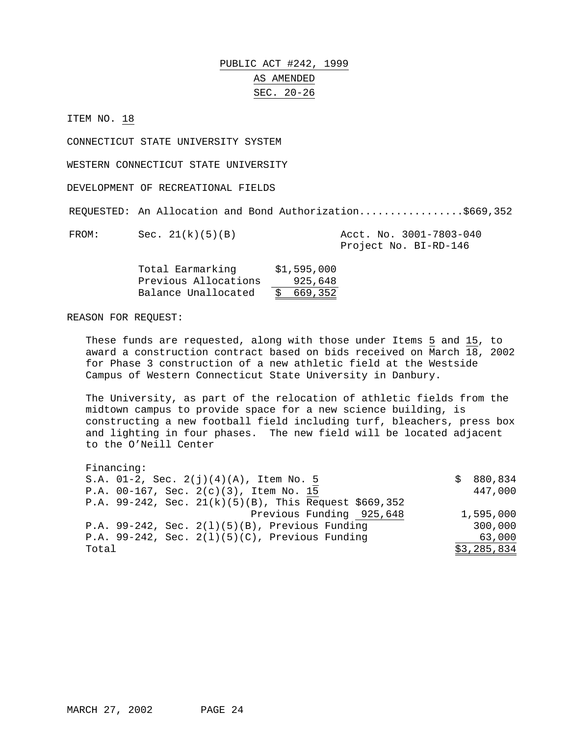# PUBLIC ACT #242, 1999 AS AMENDED SEC. 20-26

ITEM NO. 18

CONNECTICUT STATE UNIVERSITY SYSTEM

WESTERN CONNECTICUT STATE UNIVERSITY

DEVELOPMENT OF RECREATIONAL FIELDS

REQUESTED: An Allocation and Bond Authorization.................\$669,352

FROM: Sec. 21(k)(5)(B) Acct. No. 3001-7803-040 Project No. BI-RD-146

| Total Earmarking     | \$1,595,000 |
|----------------------|-------------|
| Previous Allocations | 925,648     |
| Balance Unallocated  | \$669,352   |

### REASON FOR REQUEST:

These funds are requested, along with those under Items 5 and 15, to award a construction contract based on bids received on March 18, 2002 for Phase 3 construction of a new athletic field at the Westside Campus of Western Connecticut State University in Danbury.

The University, as part of the relocation of athletic fields from the midtown campus to provide space for a new science building, is constructing a new football field including turf, bleachers, press box and lighting in four phases. The new field will be located adjacent to the O'Neill Center

Financing: S.A.  $01-2$ , Sec.  $2(j)(4)(A)$ , Item No. 5  $\qquad \qquad$  \$ 880,834 P.A. 00-167, Sec. 2(c)(3), Item No. 15 447,000 P.A. 99-242, Sec. 21(k)(5)(B), This Request \$669,352 Previous Funding 925,648 1,595,000 P.A. 99-242, Sec. 2(l)(5)(B), Previous Funding 300,000 P.A. 99-242, Sec. 2(l)(5)(C), Previous Funding 63,000 Total \$3,285,834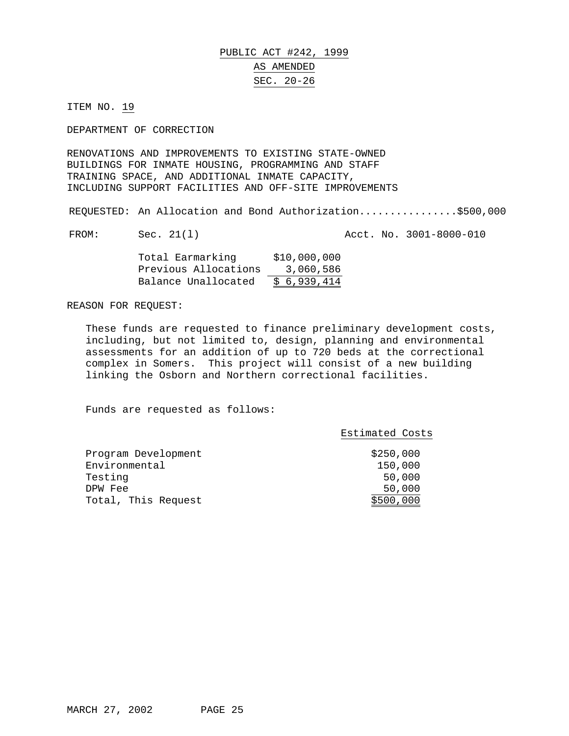### PUBLIC ACT #242, 1999 AS AMENDED SEC. 20-26

ITEM NO. 19

DEPARTMENT OF CORRECTION

RENOVATIONS AND IMPROVEMENTS TO EXISTING STATE-OWNED BUILDINGS FOR INMATE HOUSING, PROGRAMMING AND STAFF TRAINING SPACE, AND ADDITIONAL INMATE CAPACITY, INCLUDING SUPPORT FACILITIES AND OFF-SITE IMPROVEMENTS

REQUESTED: An Allocation and Bond Authorization................\$500,000

FROM: Sec. 21(1) Acct. No. 3001-8000-010

| Total Earmarking     | \$10,000,000 |
|----------------------|--------------|
| Previous Allocations | 3,060,586    |
| Balance Unallocated  | \$6,939,414  |

REASON FOR REQUEST:

These funds are requested to finance preliminary development costs, including, but not limited to, design, planning and environmental assessments for an addition of up to 720 beds at the correctional complex in Somers. This project will consist of a new building linking the Osborn and Northern correctional facilities.

| \$250,000<br>Program Development<br>Environmental<br>150,000<br>Testing<br>50,000<br>50,000<br>DPW Fee<br>Total, This Request<br>\$500,000 | Estimated Costs |
|--------------------------------------------------------------------------------------------------------------------------------------------|-----------------|
|                                                                                                                                            |                 |
|                                                                                                                                            |                 |
|                                                                                                                                            |                 |
|                                                                                                                                            |                 |
|                                                                                                                                            |                 |
|                                                                                                                                            |                 |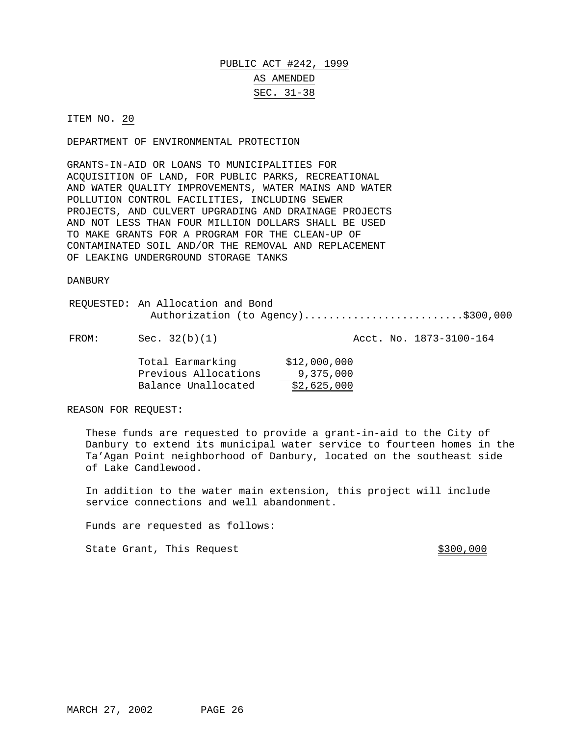# PUBLIC ACT #242, 1999 AS AMENDED SEC. 31-38

### ITEM NO. 20

DEPARTMENT OF ENVIRONMENTAL PROTECTION

GRANTS-IN-AID OR LOANS TO MUNICIPALITIES FOR ACQUISITION OF LAND, FOR PUBLIC PARKS, RECREATIONAL AND WATER QUALITY IMPROVEMENTS, WATER MAINS AND WATER POLLUTION CONTROL FACILITIES, INCLUDING SEWER PROJECTS, AND CULVERT UPGRADING AND DRAINAGE PROJECTS AND NOT LESS THAN FOUR MILLION DOLLARS SHALL BE USED TO MAKE GRANTS FOR A PROGRAM FOR THE CLEAN-UP OF CONTAMINATED SOIL AND/OR THE REMOVAL AND REPLACEMENT OF LEAKING UNDERGROUND STORAGE TANKS

#### DANBURY

| REQUESTED: An Allocation and Bond  |
|------------------------------------|
| Authorization (to Agency)\$300,000 |
|                                    |

FROM: Sec. 32(b)(1) Acct. No. 1873-3100-164

| Total Earmarking     | \$12,000,000 |
|----------------------|--------------|
| Previous Allocations | 9,375,000    |
| Balance Unallocated  | \$2,625,000  |

REASON FOR REQUEST:

These funds are requested to provide a grant-in-aid to the City of Danbury to extend its municipal water service to fourteen homes in the Ta'Agan Point neighborhood of Danbury, located on the southeast side of Lake Candlewood.

In addition to the water main extension, this project will include service connections and well abandonment.

Funds are requested as follows:

State Grant, This Request  $$300,000$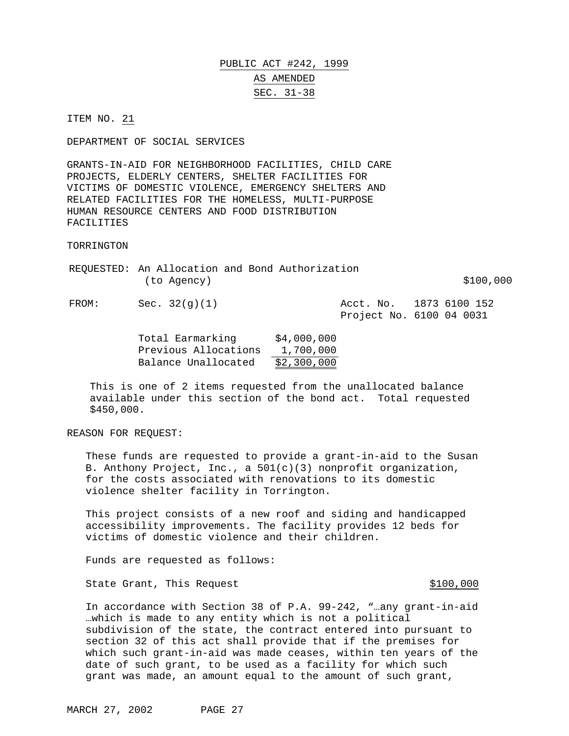### PUBLIC ACT #242, 1999 AS AMENDED SEC. 31-38

ITEM NO. 21

DEPARTMENT OF SOCIAL SERVICES

GRANTS-IN-AID FOR NEIGHBORHOOD FACILITIES, CHILD CARE PROJECTS, ELDERLY CENTERS, SHELTER FACILITIES FOR VICTIMS OF DOMESTIC VIOLENCE, EMERGENCY SHELTERS AND RELATED FACILITIES FOR THE HOMELESS, MULTI-PURPOSE HUMAN RESOURCE CENTERS AND FOOD DISTRIBUTION FACILITIES

TORRINGTON

REQUESTED: An Allocation and Bond Authorization  $(to \text{ Agency})$  \$100,000

FROM: Sec. 32(g)(1) Acct. No. 1873 6100 152

Project No. 6100 04 0031

Total Earmarking \$4,000,000 Previous Allocations 1,700,000 Balance Unallocated \$2,300,000

This is one of 2 items requested from the unallocated balance available under this section of the bond act. Total requested \$450,000.

REASON FOR REQUEST:

These funds are requested to provide a grant-in-aid to the Susan B. Anthony Project, Inc., a  $501(c)(3)$  nonprofit organization, for the costs associated with renovations to its domestic violence shelter facility in Torrington.

This project consists of a new roof and siding and handicapped accessibility improvements. The facility provides 12 beds for victims of domestic violence and their children.

Funds are requested as follows:

State Grant, This Request  $\frac{100}{100}$ 

In accordance with Section 38 of P.A. 99-242, "…any grant-in-aid …which is made to any entity which is not a political subdivision of the state, the contract entered into pursuant to section 32 of this act shall provide that if the premises for which such grant-in-aid was made ceases, within ten years of the date of such grant, to be used as a facility for which such grant was made, an amount equal to the amount of such grant,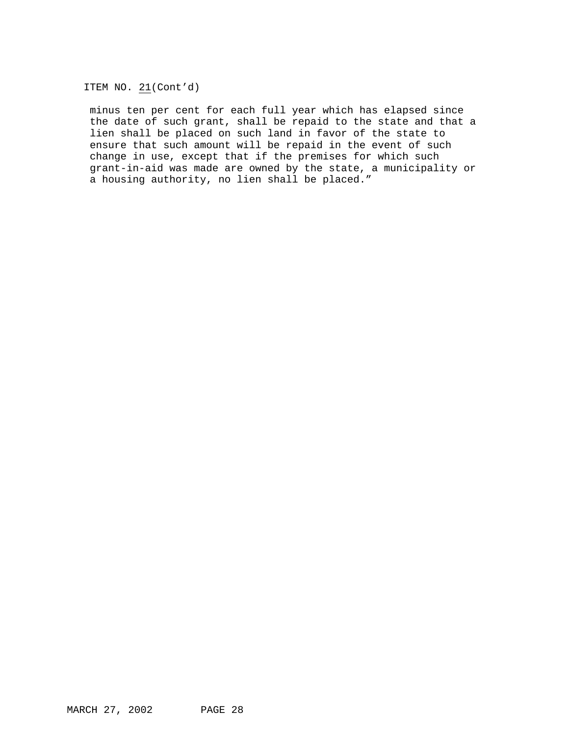ITEM NO. 21(Cont'd)

minus ten per cent for each full year which has elapsed since the date of such grant, shall be repaid to the state and that a lien shall be placed on such land in favor of the state to ensure that such amount will be repaid in the event of such change in use, except that if the premises for which such grant-in-aid was made are owned by the state, a municipality or a housing authority, no lien shall be placed."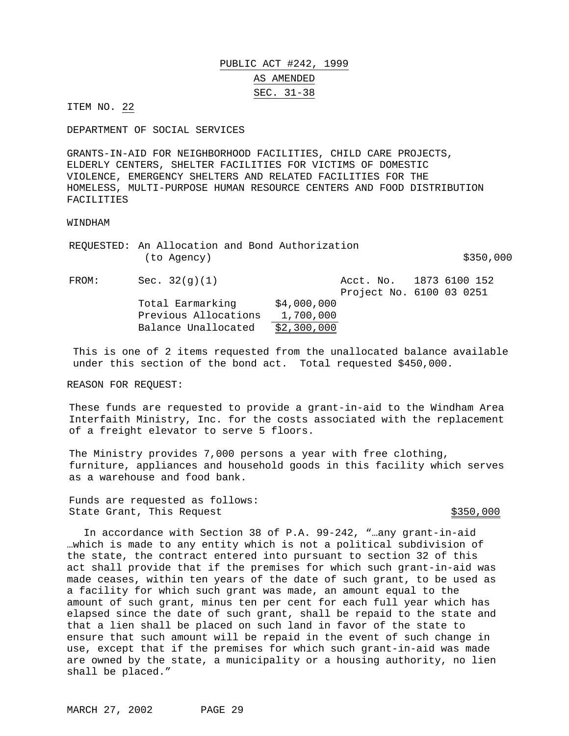# PUBLIC ACT #242, 1999 AS AMENDED SEC. 31-38

ITEM NO. 22

DEPARTMENT OF SOCIAL SERVICES

GRANTS-IN-AID FOR NEIGHBORHOOD FACILITIES, CHILD CARE PROJECTS, ELDERLY CENTERS, SHELTER FACILITIES FOR VICTIMS OF DOMESTIC VIOLENCE, EMERGENCY SHELTERS AND RELATED FACILITIES FOR THE HOMELESS, MULTI-PURPOSE HUMAN RESOURCE CENTERS AND FOOD DISTRIBUTION FACILITIES

#### WINDHAM

|       | REQUESTED: An Allocation and Bond Authorization<br>(to Agency) |             |                                                     | \$350,000 |
|-------|----------------------------------------------------------------|-------------|-----------------------------------------------------|-----------|
| FROM: | Sec. $32(g)(1)$                                                |             | Acct. No. 1873 6100 152<br>Project No. 6100 03 0251 |           |
|       | Total Earmarking                                               | \$4,000,000 |                                                     |           |
|       | Previous Allocations                                           | 1,700,000   |                                                     |           |
|       | Balance Unallocated                                            | \$2,300,000 |                                                     |           |

This is one of 2 items requested from the unallocated balance available under this section of the bond act. Total requested \$450,000.

REASON FOR REQUEST:

These funds are requested to provide a grant-in-aid to the Windham Area Interfaith Ministry, Inc. for the costs associated with the replacement of a freight elevator to serve 5 floors.

The Ministry provides 7,000 persons a year with free clothing, furniture, appliances and household goods in this facility which serves as a warehouse and food bank.

Funds are requested as follows: State Grant, This Request  $$350,000$ 

In accordance with Section 38 of P.A. 99-242, "…any grant-in-aid …which is made to any entity which is not a political subdivision of the state, the contract entered into pursuant to section 32 of this act shall provide that if the premises for which such grant-in-aid was made ceases, within ten years of the date of such grant, to be used as a facility for which such grant was made, an amount equal to the amount of such grant, minus ten per cent for each full year which has elapsed since the date of such grant, shall be repaid to the state and that a lien shall be placed on such land in favor of the state to ensure that such amount will be repaid in the event of such change in use, except that if the premises for which such grant-in-aid was made are owned by the state, a municipality or a housing authority, no lien shall be placed."

MARCH 27, 2002 PAGE 29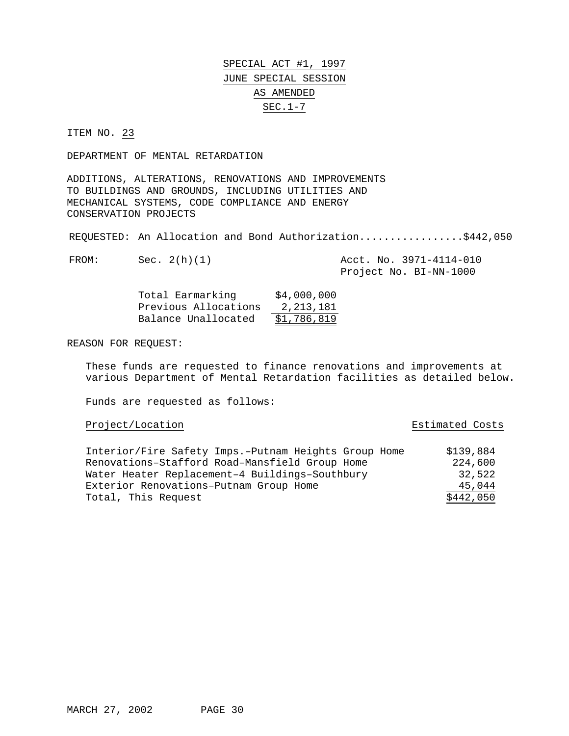ITEM NO. 23

DEPARTMENT OF MENTAL RETARDATION

ADDITIONS, ALTERATIONS, RENOVATIONS AND IMPROVEMENTS TO BUILDINGS AND GROUNDS, INCLUDING UTILITIES AND MECHANICAL SYSTEMS, CODE COMPLIANCE AND ENERGY CONSERVATION PROJECTS

REQUESTED: An Allocation and Bond Authorization.................\$442,050

FROM: Sec. 2(h)(1) Acct. No. 3971-4114-010 Project No. BI-NN-1000

| Total Earmarking     | \$4,000,000 |
|----------------------|-------------|
| Previous Allocations | 2, 213, 181 |
| Balance Unallocated  | \$1,786,819 |

REASON FOR REQUEST:

These funds are requested to finance renovations and improvements at various Department of Mental Retardation facilities as detailed below.

| Project/Location | Estimated Costs |  |
|------------------|-----------------|--|
|                  |                 |  |

| Estimated Costs |  |
|-----------------|--|
|                 |  |

| Interior/Fire Safety Imps.-Putnam Heights Group Home | \$139,884 |
|------------------------------------------------------|-----------|
| Renovations-Stafford Road-Mansfield Group Home       | 224,600   |
| Water Heater Replacement-4 Buildings-Southbury       | 32.522    |
| Exterior Renovations-Putnam Group Home               | 45,044    |
| Total, This Request                                  | \$442,050 |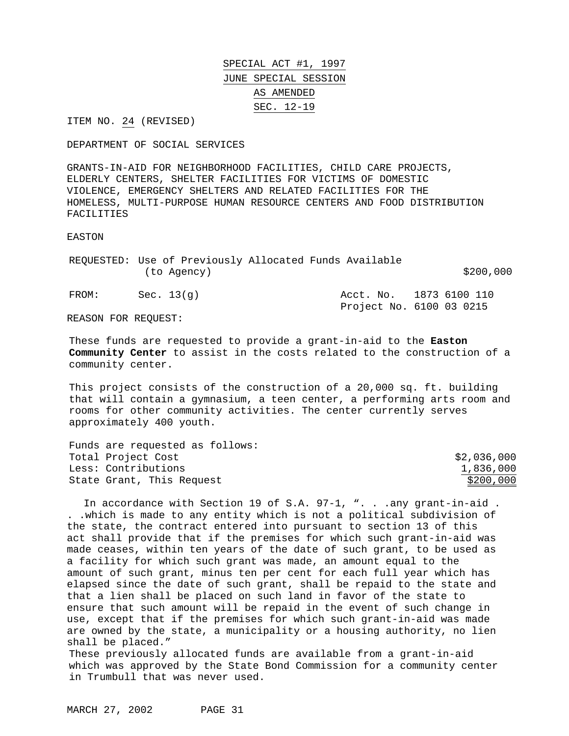ITEM NO. 24 (REVISED)

DEPARTMENT OF SOCIAL SERVICES

GRANTS-IN-AID FOR NEIGHBORHOOD FACILITIES, CHILD CARE PROJECTS, ELDERLY CENTERS, SHELTER FACILITIES FOR VICTIMS OF DOMESTIC VIOLENCE, EMERGENCY SHELTERS AND RELATED FACILITIES FOR THE HOMELESS, MULTI-PURPOSE HUMAN RESOURCE CENTERS AND FOOD DISTRIBUTION FACILITIES

#### EASTON

REQUESTED: Use of Previously Allocated Funds Available (to Agency) \$200,000  $\sim$ FROM: Sec. 13(g)  $\overline{AC}$  Acct. No. 1873 6100 110 Project No. 6100 03 0215

REASON FOR REQUEST:

These funds are requested to provide a grant-in-aid to the **Easton Community Center** to assist in the costs related to the construction of a community center.

This project consists of the construction of a 20,000 sq. ft. building that will contain a gymnasium, a teen center, a performing arts room and rooms for other community activities. The center currently serves approximately 400 youth.

| Funds are requested as follows: |             |
|---------------------------------|-------------|
| Total Project Cost              | \$2,036,000 |
| Less: Contributions             | 1,836,000   |
| State Grant, This Request       | \$200,000   |

In accordance with Section 19 of S.A. 97-1, ". . .any grant-in-aid . . .which is made to any entity which is not a political subdivision of the state, the contract entered into pursuant to section 13 of this act shall provide that if the premises for which such grant-in-aid was made ceases, within ten years of the date of such grant, to be used as a facility for which such grant was made, an amount equal to the amount of such grant, minus ten per cent for each full year which has elapsed since the date of such grant, shall be repaid to the state and that a lien shall be placed on such land in favor of the state to ensure that such amount will be repaid in the event of such change in use, except that if the premises for which such grant-in-aid was made are owned by the state, a municipality or a housing authority, no lien shall be placed." These previously allocated funds are available from a grant-in-aid which was approved by the State Bond Commission for a community center

in Trumbull that was never used.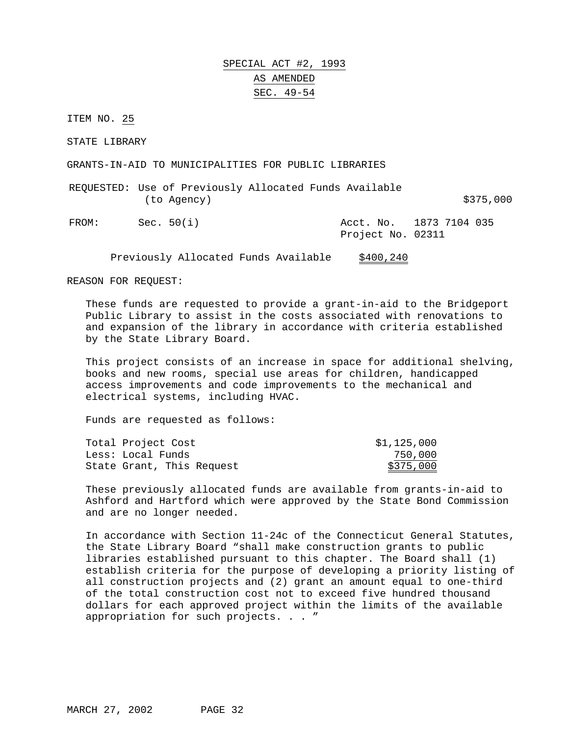SPECIAL ACT #2, 1993 AS AMENDED SEC. 49-54

ITEM NO. 25

STATE LIBRARY

GRANTS-IN-AID TO MUNICIPALITIES FOR PUBLIC LIBRARIES

REQUESTED: Use of Previously Allocated Funds Available  $(to Agency)$   $$375,000$ 

FROM: Sec. 50(i) Acct. No. 1873 7104 035 Project No. 02311

Previously Allocated Funds Available \$400,240

REASON FOR REQUEST:

These funds are requested to provide a grant-in-aid to the Bridgeport Public Library to assist in the costs associated with renovations to and expansion of the library in accordance with criteria established by the State Library Board.

This project consists of an increase in space for additional shelving, books and new rooms, special use areas for children, handicapped access improvements and code improvements to the mechanical and electrical systems, including HVAC.

Funds are requested as follows:

| Total Project Cost        | \$1,125,000 |
|---------------------------|-------------|
| Less: Local Funds         | 750,000     |
| State Grant, This Request | \$375,000   |

These previously allocated funds are available from grants-in-aid to Ashford and Hartford which were approved by the State Bond Commission and are no longer needed.

In accordance with Section 11-24c of the Connecticut General Statutes, the State Library Board "shall make construction grants to public libraries established pursuant to this chapter. The Board shall (1) establish criteria for the purpose of developing a priority listing of all construction projects and (2) grant an amount equal to one-third of the total construction cost not to exceed five hundred thousand dollars for each approved project within the limits of the available appropriation for such projects..."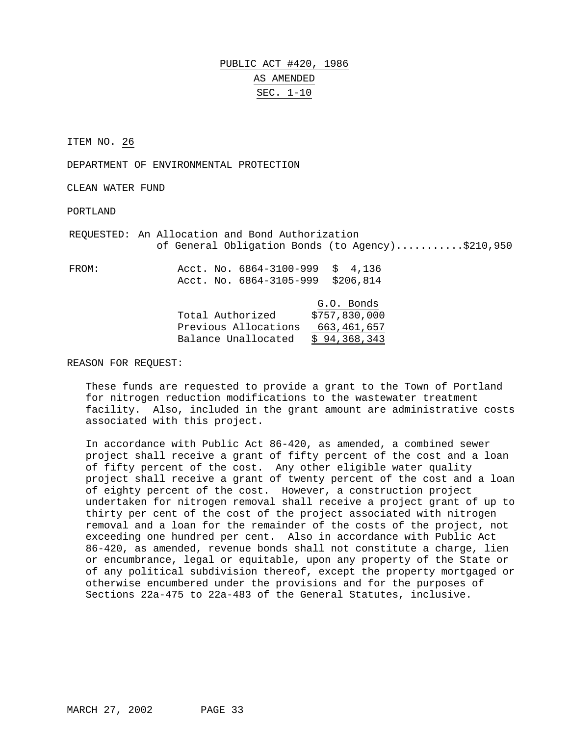# PUBLIC ACT #420, 1986 AS AMENDED SEC. 1-10

ITEM NO. 26

DEPARTMENT OF ENVIRONMENTAL PROTECTION

CLEAN WATER FUND

PORTLAND

REQUESTED: An Allocation and Bond Authorization of General Obligation Bonds (to Agency)..........\$210,950

FROM: Acct. No. 6864-3100-999 \$ 4,136 Acct. No. 6864-3105-999 \$206,814

|                      | G.O. Bonds    |
|----------------------|---------------|
| Total Authorized     | \$757,830,000 |
| Previous Allocations | 663,461,657   |
| Balance Unallocated  | \$94,368,343  |

REASON FOR REQUEST:

These funds are requested to provide a grant to the Town of Portland for nitrogen reduction modifications to the wastewater treatment facility. Also, included in the grant amount are administrative costs associated with this project.

In accordance with Public Act 86-420, as amended, a combined sewer project shall receive a grant of fifty percent of the cost and a loan of fifty percent of the cost. Any other eligible water quality project shall receive a grant of twenty percent of the cost and a loan of eighty percent of the cost. However, a construction project undertaken for nitrogen removal shall receive a project grant of up to thirty per cent of the cost of the project associated with nitrogen removal and a loan for the remainder of the costs of the project, not exceeding one hundred per cent. Also in accordance with Public Act 86-420, as amended, revenue bonds shall not constitute a charge, lien or encumbrance, legal or equitable, upon any property of the State or of any political subdivision thereof, except the property mortgaged or otherwise encumbered under the provisions and for the purposes of Sections 22a-475 to 22a-483 of the General Statutes, inclusive.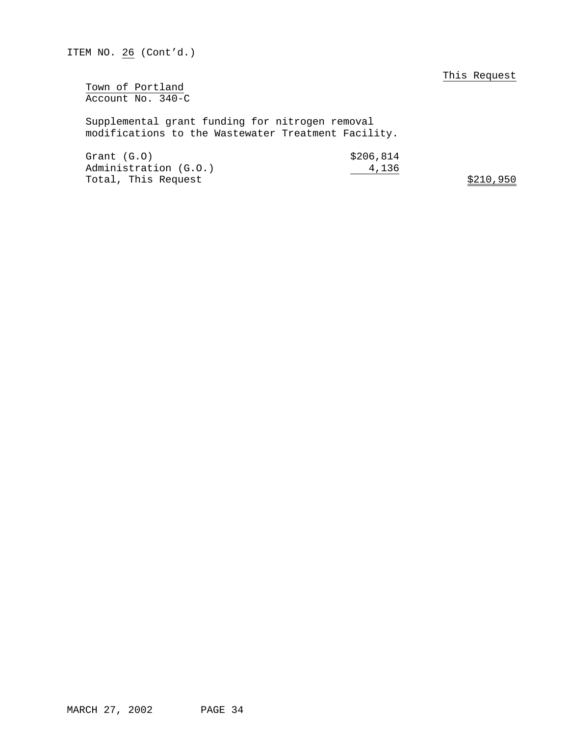This Request

Town of Portland Account No. 340-C

Supplemental grant funding for nitrogen removal modifications to the Wastewater Treatment Facility.

| Grand(G.0)            | \$206,814 |           |
|-----------------------|-----------|-----------|
| Administration (G.O.) | 4,136     |           |
| Total, This Request   |           | \$210,950 |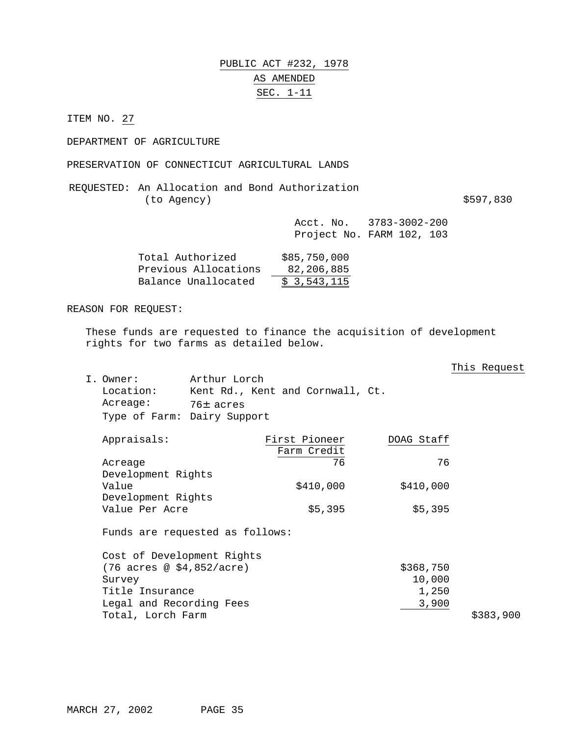### PUBLIC ACT #232, 1978 AS AMENDED SEC. 1-11

ITEM NO. 27

DEPARTMENT OF AGRICULTURE

PRESERVATION OF CONNECTICUT AGRICULTURAL LANDS

REQUESTED: An Allocation and Bond Authorization (to Agency) \$597,830

Acct. No. 3783-3002-200 Project No. FARM 102, 103

| Total Authorized     | \$85,750,000 |
|----------------------|--------------|
| Previous Allocations | 82,206,885   |
| Balance Unallocated  | \$3,543,115  |

### REASON FOR REQUEST:

These funds are requested to finance the acquisition of development rights for two farms as detailed below.

### This Request

| I. Owner: | Arthur Lorch                     |
|-----------|----------------------------------|
| Location: | Kent Rd., Kent and Cornwall, Ct. |
| Acreage:  | 76± acres                        |
|           | Type of Farm: Dairy Support      |

| Appraisals:        | First Pioneer | DOAG Staff |
|--------------------|---------------|------------|
|                    | Farm Credit   |            |
| Acreage            | 76            | 76         |
| Development Rights |               |            |
| Value              | \$410,000     | \$410,000  |
| Development Rights |               |            |
| Value Per Acre     | \$5,395       | \$5,395    |
|                    |               |            |

| Cost of Development Rights         |           |
|------------------------------------|-----------|
| $(76 \text{ acres} @ $4,852/acre)$ | \$368,750 |
| Survey                             | 10,000    |
| Title Insurance                    | 1,250     |
| Legal and Recording Fees           | 3,900     |
| Total, Lorch Farm                  | \$383,900 |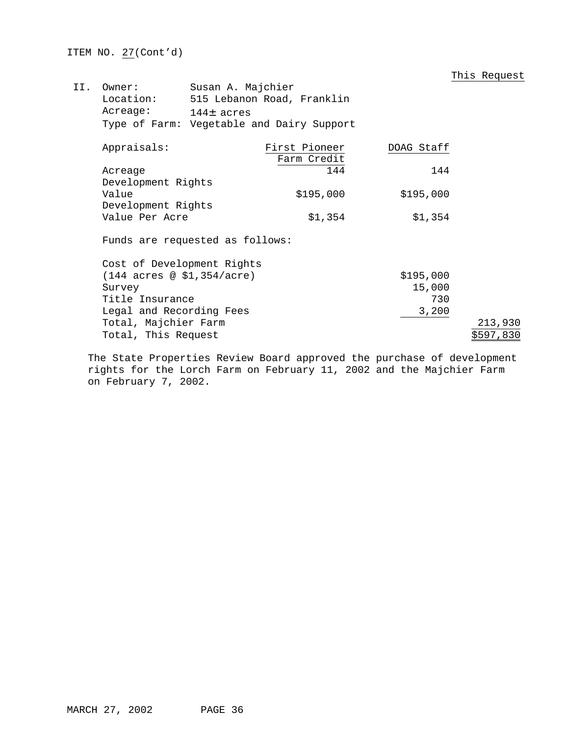This Request

| II. | Owner:                                              | Susan A. Majchier                         |                            |            |           |  |  |  |
|-----|-----------------------------------------------------|-------------------------------------------|----------------------------|------------|-----------|--|--|--|
|     | Location:                                           |                                           | 515 Lebanon Road, Franklin |            |           |  |  |  |
|     | Acreage:                                            | $144±$ acres                              |                            |            |           |  |  |  |
|     |                                                     | Type of Farm: Vegetable and Dairy Support |                            |            |           |  |  |  |
|     | Appraisals:                                         |                                           | First Pioneer              | DOAG Staff |           |  |  |  |
|     |                                                     |                                           | Farm Credit                |            |           |  |  |  |
|     | Acreage                                             |                                           | 144                        | 144        |           |  |  |  |
|     | Development Rights                                  |                                           |                            |            |           |  |  |  |
|     | Value                                               |                                           | \$195,000                  | \$195,000  |           |  |  |  |
|     | Development Rights                                  |                                           |                            |            |           |  |  |  |
|     | Value Per Acre                                      |                                           | \$1,354                    | \$1,354    |           |  |  |  |
|     | Funds are requested as follows:                     |                                           |                            |            |           |  |  |  |
|     | Cost of Development Rights                          |                                           |                            |            |           |  |  |  |
|     | $(144 \text{ acres} \text{ @ } $1,354/\text{acre})$ |                                           |                            | \$195,000  |           |  |  |  |
|     | Survey                                              |                                           |                            | 15,000     |           |  |  |  |
|     | Title Insurance                                     |                                           |                            | 730        |           |  |  |  |
|     | Legal and Recording Fees                            |                                           |                            | 3,200      |           |  |  |  |
|     | Total, Majchier Farm                                |                                           |                            |            | 213,930   |  |  |  |
|     | Total, This Request                                 |                                           |                            |            | \$597,830 |  |  |  |

The State Properties Review Board approved the purchase of development rights for the Lorch Farm on February 11, 2002 and the Majchier Farm on February 7, 2002.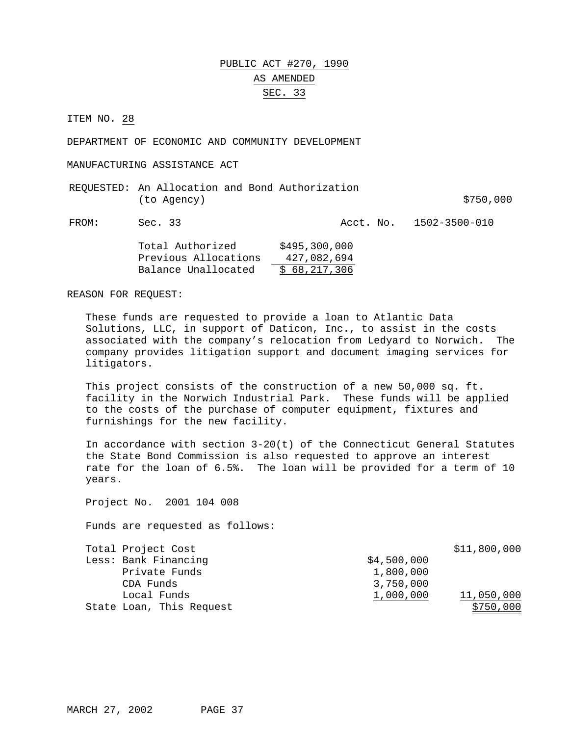# PUBLIC ACT #270, 1990 AS AMENDED SEC. 33

ITEM NO. 28

DEPARTMENT OF ECONOMIC AND COMMUNITY DEVELOPMENT

MANUFACTURING ASSISTANCE ACT

| REQUESTED: An Allocation and Bond Authorization |  |           |
|-------------------------------------------------|--|-----------|
| (to Agency)                                     |  | \$750,000 |

FROM: Sec. 33 Acct. No. 1502-3500-010

| Total Authorized     | \$495,300,000 |
|----------------------|---------------|
| Previous Allocations | 427,082,694   |
| Balance Unallocated  | \$68,217,306  |

REASON FOR REQUEST:

These funds are requested to provide a loan to Atlantic Data Solutions, LLC, in support of Daticon, Inc., to assist in the costs associated with the company's relocation from Ledyard to Norwich. The company provides litigation support and document imaging services for litigators.

This project consists of the construction of a new 50,000 sq. ft. facility in the Norwich Industrial Park. These funds will be applied to the costs of the purchase of computer equipment, fixtures and furnishings for the new facility.

In accordance with section 3-20(t) of the Connecticut General Statutes the State Bond Commission is also requested to approve an interest rate for the loan of 6.5%. The loan will be provided for a term of 10 years.

Project No. 2001 104 008

| Total Project Cost       |             | \$11,800,000 |
|--------------------------|-------------|--------------|
| Less: Bank Financing     | \$4,500,000 |              |
| Private Funds            | 1,800,000   |              |
| CDA Funds                | 3,750,000   |              |
| Local Funds              | 1,000,000   | 11,050,000   |
| State Loan, This Request |             | \$750,000    |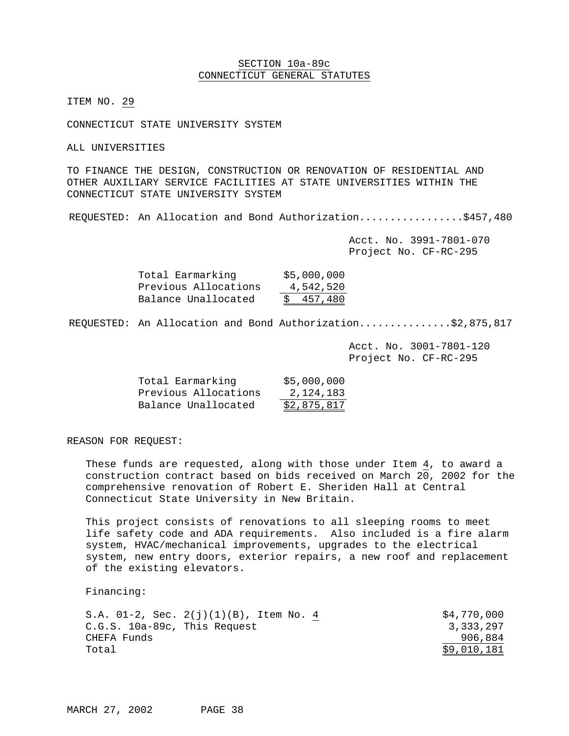### SECTION 10a-89c CONNECTICUT GENERAL STATUTES

ITEM NO. 29

CONNECTICUT STATE UNIVERSITY SYSTEM

ALL UNIVERSITIES

TO FINANCE THE DESIGN, CONSTRUCTION OR RENOVATION OF RESIDENTIAL AND OTHER AUXILIARY SERVICE FACILITIES AT STATE UNIVERSITIES WITHIN THE CONNECTICUT STATE UNIVERSITY SYSTEM

REQUESTED: An Allocation and Bond Authorization..................\$457,480

Acct. No. 3991-7801-070 Project No. CF-RC-295

| Total Earmarking     | \$5,000,000 |
|----------------------|-------------|
| Previous Allocations | 4,542,520   |
| Balance Unallocated  | \$457,480   |

REQUESTED: An Allocation and Bond Authorization...............\$2,875,817

Acct. No. 3001-7801-120 Project No. CF-RC-295

| Total Earmarking     | \$5,000,000 |
|----------------------|-------------|
| Previous Allocations | 2,124,183   |
| Balance Unallocated  | \$2,875,817 |

REASON FOR REQUEST:

These funds are requested, along with those under Item 4, to award a construction contract based on bids received on March  $20$ , 2002 for the comprehensive renovation of Robert E. Sheriden Hall at Central Connecticut State University in New Britain.

This project consists of renovations to all sleeping rooms to meet life safety code and ADA requirements. Also included is a fire alarm system, HVAC/mechanical improvements, upgrades to the electrical system, new entry doors, exterior repairs, a new roof and replacement of the existing elevators.

Financing:

| S.A. 01-2, Sec. $2(j)(1)(B)$ , Item No. 4 | \$4,770,000 |
|-------------------------------------------|-------------|
| C.G.S. 10a-89c, This Request              | 3,333,297   |
| CHEFA Funds                               | 906,884     |
| Total                                     | \$9,010,181 |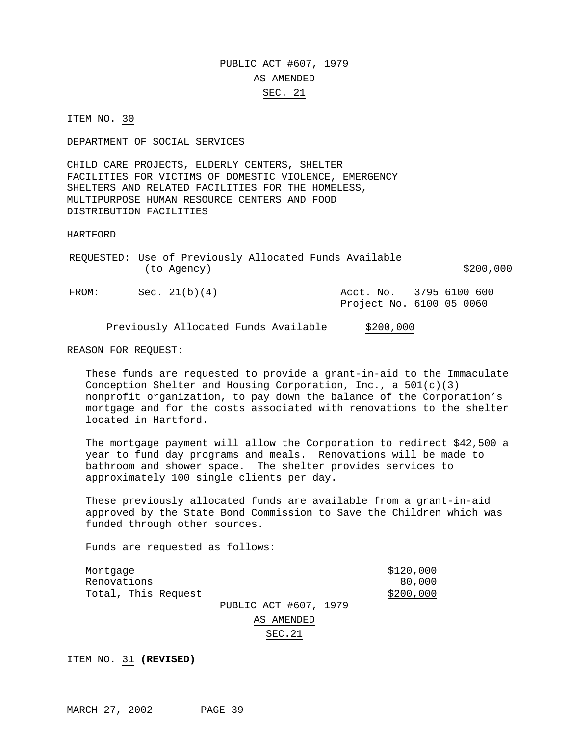# PUBLIC ACT #607, 1979 AS AMENDED SEC. 21

ITEM NO. 30

DEPARTMENT OF SOCIAL SERVICES

CHILD CARE PROJECTS, ELDERLY CENTERS, SHELTER FACILITIES FOR VICTIMS OF DOMESTIC VIOLENCE, EMERGENCY SHELTERS AND RELATED FACILITIES FOR THE HOMELESS, MULTIPURPOSE HUMAN RESOURCE CENTERS AND FOOD DISTRIBUTION FACILITIES

HARTFORD

|       | (to Agency)     | REQUESTED: Use of Previously Allocated Funds Available | \$200,000                                           |
|-------|-----------------|--------------------------------------------------------|-----------------------------------------------------|
| FROM: | Sec. $21(b)(4)$ |                                                        | Acct. No. 3795 6100 600<br>Project No. 6100 05 0060 |

Previously Allocated Funds Available \$200,000

REASON FOR REQUEST:

These funds are requested to provide a grant-in-aid to the Immaculate Conception Shelter and Housing Corporation, Inc., a  $501(c)(3)$ nonprofit organization, to pay down the balance of the Corporation's mortgage and for the costs associated with renovations to the shelter located in Hartford.

The mortgage payment will allow the Corporation to redirect \$42,500 a year to fund day programs and meals. Renovations will be made to bathroom and shower space. The shelter provides services to approximately 100 single clients per day.

These previously allocated funds are available from a grant-in-aid approved by the State Bond Commission to Save the Children which was funded through other sources.

Funds are requested as follows:

| Mortqaqe<br>Renovations<br>Total, This Request |                       | \$120,000<br>80,000<br>\$200,000 |
|------------------------------------------------|-----------------------|----------------------------------|
|                                                | PUBLIC ACT #607, 1979 |                                  |
|                                                | AS AMENDED            |                                  |
|                                                | SEC.21                |                                  |

ITEM NO. 31 **(REVISED)**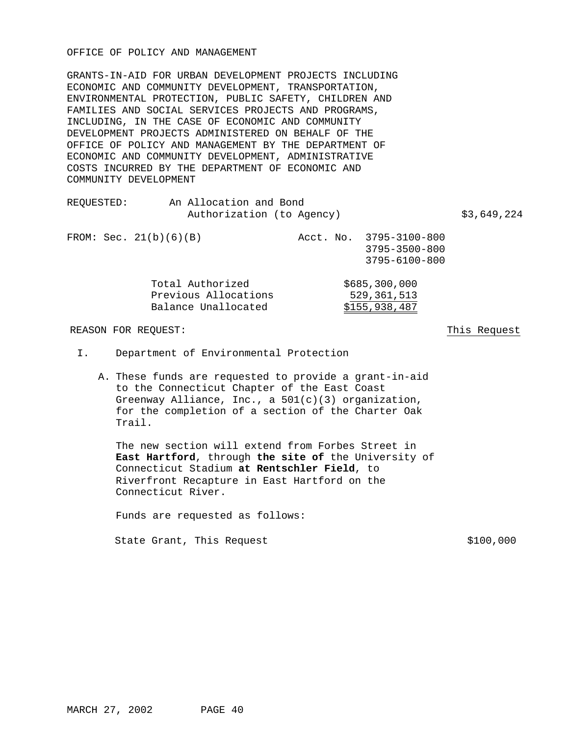### OFFICE OF POLICY AND MANAGEMENT

GRANTS-IN-AID FOR URBAN DEVELOPMENT PROJECTS INCLUDING ECONOMIC AND COMMUNITY DEVELOPMENT, TRANSPORTATION, ENVIRONMENTAL PROTECTION, PUBLIC SAFETY, CHILDREN AND FAMILIES AND SOCIAL SERVICES PROJECTS AND PROGRAMS, INCLUDING, IN THE CASE OF ECONOMIC AND COMMUNITY DEVELOPMENT PROJECTS ADMINISTERED ON BEHALF OF THE OFFICE OF POLICY AND MANAGEMENT BY THE DEPARTMENT OF ECONOMIC AND COMMUNITY DEVELOPMENT, ADMINISTRATIVE COSTS INCURRED BY THE DEPARTMENT OF ECONOMIC AND COMMUNITY DEVELOPMENT

| REOUESTED: | An Allocation and Bond<br>Authorization (to Agency)             |  |                                                                 | \$3,649,224 |
|------------|-----------------------------------------------------------------|--|-----------------------------------------------------------------|-------------|
|            | FROM: Sec. $21(b)(6)(B)$                                        |  | Acct. No. 3795-3100-800<br>$3795 - 3500 - 800$<br>3795-6100-800 |             |
|            | Total Authorized<br>Previous Allocations<br>Balance Unallocated |  | \$685,300,000<br>529,361,513<br>\$155,938,487                   |             |

REASON FOR REQUEST: This Request

- I. Department of Environmental Protection
	- A. These funds are requested to provide a grant-in-aid to the Connecticut Chapter of the East Coast Greenway Alliance, Inc., a  $501(c)(3)$  organization, for the completion of a section of the Charter Oak Trail.

The new section will extend from Forbes Street in **East Hartford**, through **the site of** the University of Connecticut Stadium **at Rentschler Field**, to Riverfront Recapture in East Hartford on the Connecticut River.

Funds are requested as follows:

State Grant, This Request  $$100,000$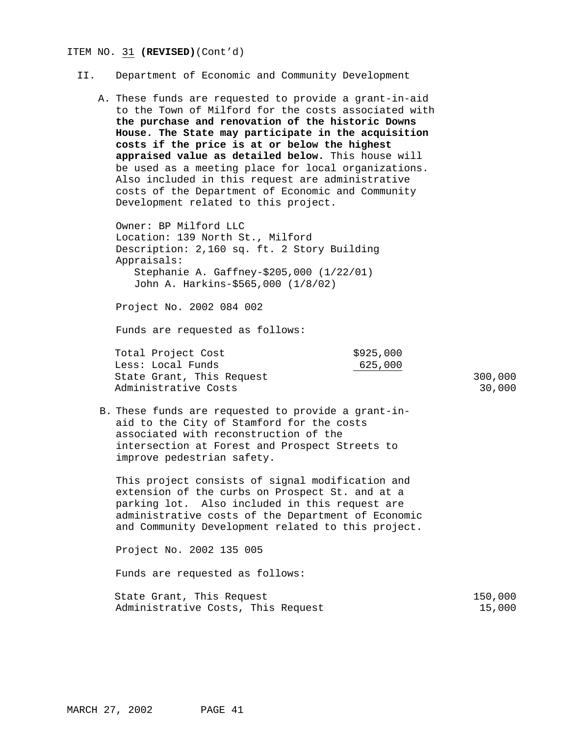#### ITEM NO. 31 **(REVISED)**(Cont'd)

### II. Department of Economic and Community Development

A. These funds are requested to provide a grant-in-aid to the Town of Milford for the costs associated with **the purchase and renovation of the historic Downs House. The State may participate in the acquisition costs if the price is at or below the highest appraised value as detailed below.** This house will be used as a meeting place for local organizations. Also included in this request are administrative costs of the Department of Economic and Community Development related to this project.

Owner: BP Milford LLC Location: 139 North St., Milford Description: 2,160 sq. ft. 2 Story Building Appraisals: Stephanie A. Gaffney-\$205,000 (1/22/01) John A. Harkins-\$565,000 (1/8/02)

Project No. 2002 084 002

Funds are requested as follows:

| Total Project Cost        | \$925,000 |         |
|---------------------------|-----------|---------|
| Less: Local Funds         | 625,000   |         |
| State Grant, This Request |           | 300,000 |
| Administrative Costs      |           | 30,000  |

B. These funds are requested to provide a grant-inaid to the City of Stamford for the costs associated with reconstruction of the intersection at Forest and Prospect Streets to improve pedestrian safety.

This project consists of signal modification and extension of the curbs on Prospect St. and at a parking lot. Also included in this request are administrative costs of the Department of Economic and Community Development related to this project.

Project No. 2002 135 005

| State Grant, This Request          |  | 150,000 |
|------------------------------------|--|---------|
| Administrative Costs, This Request |  | 15,000  |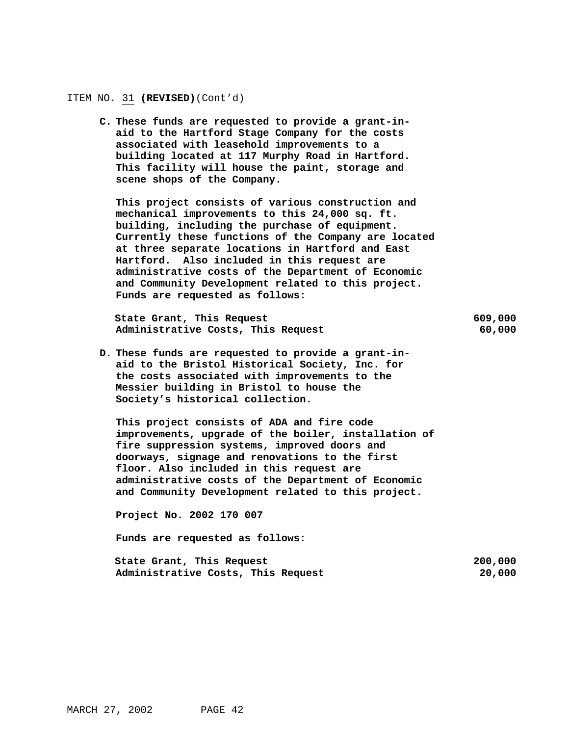#### ITEM NO. 31 **(REVISED)**(Cont'd)

**C. These funds are requested to provide a grant-inaid to the Hartford Stage Company for the costs associated with leasehold improvements to a building located at 117 Murphy Road in Hartford. This facility will house the paint, storage and scene shops of the Company.**

**This project consists of various construction and mechanical improvements to this 24,000 sq. ft. building, including the purchase of equipment. Currently these functions of the Company are located at three separate locations in Hartford and East Hartford. Also included in this request are administrative costs of the Department of Economic and Community Development related to this project. Funds are requested as follows:**

**State Grant, This Request 609,000 Administrative Costs, This Request 60,000**

**D. These funds are requested to provide a grant-inaid to the Bristol Historical Society, Inc. for the costs associated with improvements to the Messier building in Bristol to house the Society's historical collection.**

**This project consists of ADA and fire code improvements, upgrade of the boiler, installation of fire suppression systems, improved doors and doorways, signage and renovations to the first floor. Also included in this request are administrative costs of the Department of Economic and Community Development related to this project.**

**Project No. 2002 170 007**

| State Grant, This Request          | 200,000 |
|------------------------------------|---------|
| Administrative Costs, This Request | 20,000  |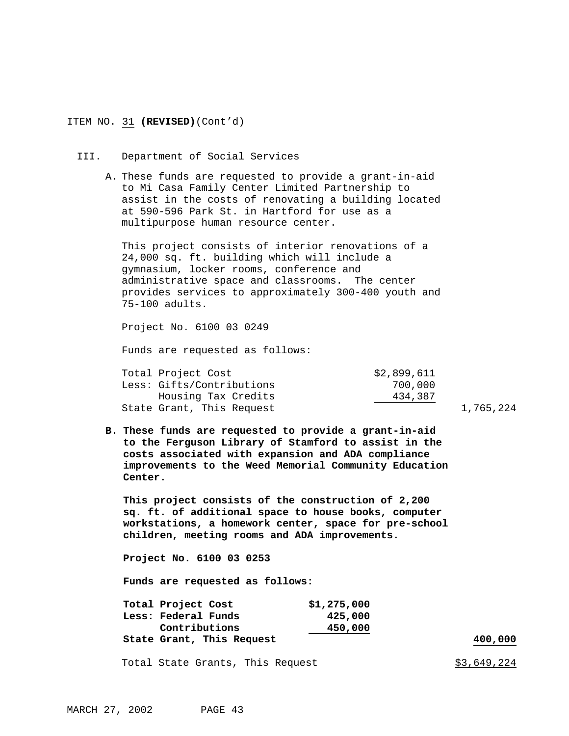### ITEM NO. 31 **(REVISED)**(Cont'd)

#### III. Department of Social Services

A. These funds are requested to provide a grant-in-aid to Mi Casa Family Center Limited Partnership to assist in the costs of renovating a building located at 590-596 Park St. in Hartford for use as a multipurpose human resource center.

This project consists of interior renovations of a 24,000 sq. ft. building which will include a gymnasium, locker rooms, conference and administrative space and classrooms. The center provides services to approximately 300-400 youth and 75-100 adults.

Project No. 6100 03 0249

Funds are requested as follows:

| Total Project Cost        | \$2,899,611 |
|---------------------------|-------------|
| Less: Gifts/Contributions | 700,000     |
| Housing Tax Credits       | 434,387     |
| State Grant, This Request |             |

1,765,224

**B. These funds are requested to provide a grant-in-aid to the Ferguson Library of Stamford to assist in the costs associated with expansion and ADA compliance improvements to the Weed Memorial Community Education Center.**

**This project consists of the construction of 2,200 sq. ft. of additional space to house books, computer workstations, a homework center, space for pre-school children, meeting rooms and ADA improvements.**

**Project No. 6100 03 0253**

**Funds are requested as follows:**

| Total Project Cost        | \$1,275,000 |         |
|---------------------------|-------------|---------|
| Less: Federal Funds       | 425,000     |         |
| Contributions             | 450,000     |         |
| State Grant, This Request |             | 400,000 |

Total State Grants, This Request  $$3,649,224$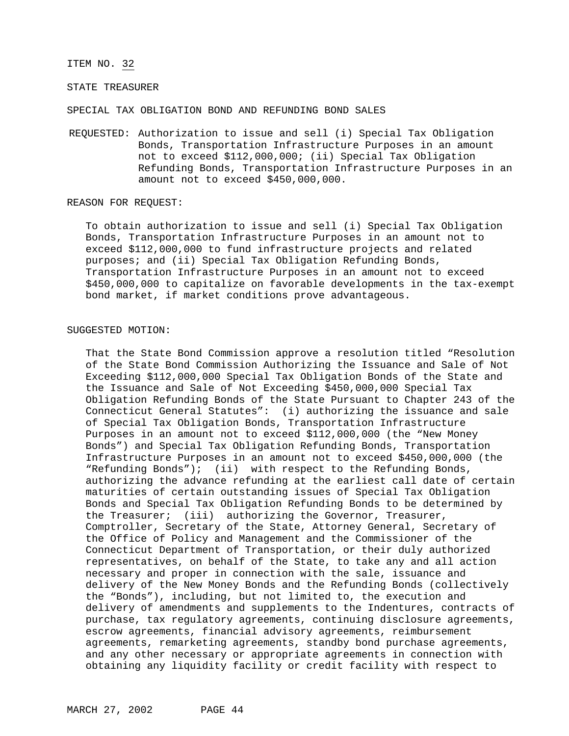#### ITEM NO. 32

### STATE TREASURER

SPECIAL TAX OBLIGATION BOND AND REFUNDING BOND SALES

REQUESTED: Authorization to issue and sell (i) Special Tax Obligation Bonds, Transportation Infrastructure Purposes in an amount not to exceed \$112,000,000; (ii) Special Tax Obligation Refunding Bonds, Transportation Infrastructure Purposes in an amount not to exceed \$450,000,000.

#### REASON FOR REQUEST:

To obtain authorization to issue and sell (i) Special Tax Obligation Bonds, Transportation Infrastructure Purposes in an amount not to exceed \$112,000,000 to fund infrastructure projects and related purposes; and (ii) Special Tax Obligation Refunding Bonds, Transportation Infrastructure Purposes in an amount not to exceed \$450,000,000 to capitalize on favorable developments in the tax-exempt bond market, if market conditions prove advantageous.

### SUGGESTED MOTION:

That the State Bond Commission approve a resolution titled "Resolution of the State Bond Commission Authorizing the Issuance and Sale of Not Exceeding \$112,000,000 Special Tax Obligation Bonds of the State and the Issuance and Sale of Not Exceeding \$450,000,000 Special Tax Obligation Refunding Bonds of the State Pursuant to Chapter 243 of the Connecticut General Statutes": (i) authorizing the issuance and sale of Special Tax Obligation Bonds, Transportation Infrastructure Purposes in an amount not to exceed \$112,000,000 (the "New Money Bonds") and Special Tax Obligation Refunding Bonds, Transportation Infrastructure Purposes in an amount not to exceed \$450,000,000 (the "Refunding Bonds"); (ii) with respect to the Refunding Bonds, authorizing the advance refunding at the earliest call date of certain maturities of certain outstanding issues of Special Tax Obligation Bonds and Special Tax Obligation Refunding Bonds to be determined by the Treasurer; (iii) authorizing the Governor, Treasurer, Comptroller, Secretary of the State, Attorney General, Secretary of the Office of Policy and Management and the Commissioner of the Connecticut Department of Transportation, or their duly authorized representatives, on behalf of the State, to take any and all action necessary and proper in connection with the sale, issuance and delivery of the New Money Bonds and the Refunding Bonds (collectively the "Bonds"), including, but not limited to, the execution and delivery of amendments and supplements to the Indentures, contracts of purchase, tax regulatory agreements, continuing disclosure agreements, escrow agreements, financial advisory agreements, reimbursement agreements, remarketing agreements, standby bond purchase agreements, and any other necessary or appropriate agreements in connection with obtaining any liquidity facility or credit facility with respect to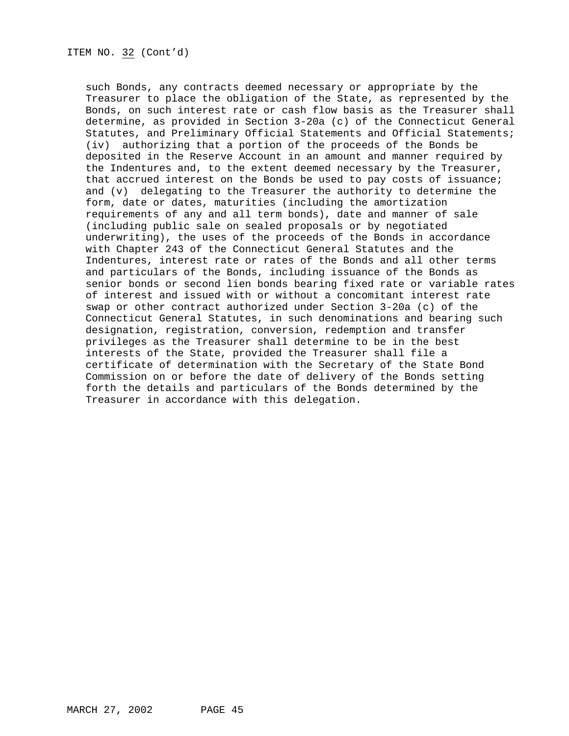such Bonds, any contracts deemed necessary or appropriate by the Treasurer to place the obligation of the State, as represented by the Bonds, on such interest rate or cash flow basis as the Treasurer shall determine, as provided in Section 3-20a (c) of the Connecticut General Statutes, and Preliminary Official Statements and Official Statements; (iv) authorizing that a portion of the proceeds of the Bonds be deposited in the Reserve Account in an amount and manner required by the Indentures and, to the extent deemed necessary by the Treasurer, that accrued interest on the Bonds be used to pay costs of issuance; and (v) delegating to the Treasurer the authority to determine the form, date or dates, maturities (including the amortization requirements of any and all term bonds), date and manner of sale (including public sale on sealed proposals or by negotiated underwriting), the uses of the proceeds of the Bonds in accordance with Chapter 243 of the Connecticut General Statutes and the Indentures, interest rate or rates of the Bonds and all other terms and particulars of the Bonds, including issuance of the Bonds as senior bonds or second lien bonds bearing fixed rate or variable rates of interest and issued with or without a concomitant interest rate swap or other contract authorized under Section 3-20a (c) of the Connecticut General Statutes, in such denominations and bearing such designation, registration, conversion, redemption and transfer privileges as the Treasurer shall determine to be in the best interests of the State, provided the Treasurer shall file a certificate of determination with the Secretary of the State Bond Commission on or before the date of delivery of the Bonds setting forth the details and particulars of the Bonds determined by the Treasurer in accordance with this delegation.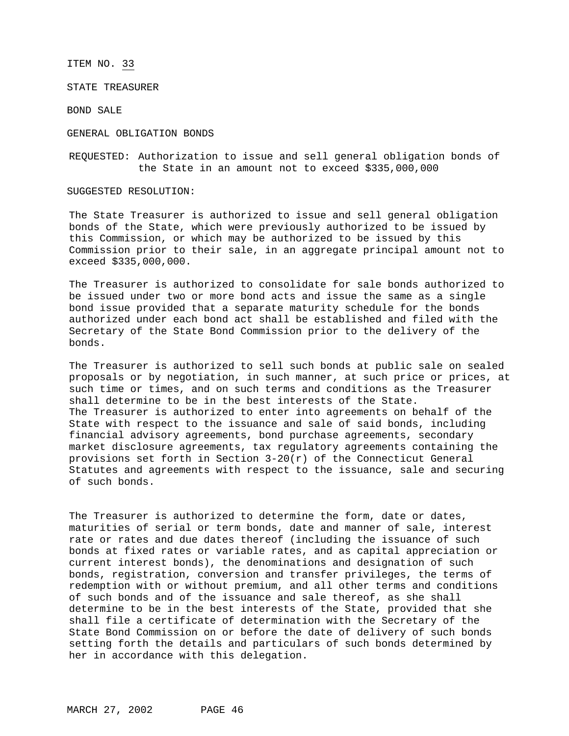ITEM NO. 33

STATE TREASURER

BOND SALE

GENERAL OBLIGATION BONDS

REQUESTED: Authorization to issue and sell general obligation bonds of the State in an amount not to exceed \$335,000,000

SUGGESTED RESOLUTION:

The State Treasurer is authorized to issue and sell general obligation bonds of the State, which were previously authorized to be issued by this Commission, or which may be authorized to be issued by this Commission prior to their sale, in an aggregate principal amount not to exceed \$335,000,000.

The Treasurer is authorized to consolidate for sale bonds authorized to be issued under two or more bond acts and issue the same as a single bond issue provided that a separate maturity schedule for the bonds authorized under each bond act shall be established and filed with the Secretary of the State Bond Commission prior to the delivery of the bonds.

The Treasurer is authorized to sell such bonds at public sale on sealed proposals or by negotiation, in such manner, at such price or prices, at such time or times, and on such terms and conditions as the Treasurer shall determine to be in the best interests of the State. The Treasurer is authorized to enter into agreements on behalf of the State with respect to the issuance and sale of said bonds, including financial advisory agreements, bond purchase agreements, secondary market disclosure agreements, tax regulatory agreements containing the provisions set forth in Section  $3-20(r)$  of the Connecticut General Statutes and agreements with respect to the issuance, sale and securing of such bonds.

The Treasurer is authorized to determine the form, date or dates, maturities of serial or term bonds, date and manner of sale, interest rate or rates and due dates thereof (including the issuance of such bonds at fixed rates or variable rates, and as capital appreciation or current interest bonds), the denominations and designation of such bonds, registration, conversion and transfer privileges, the terms of redemption with or without premium, and all other terms and conditions of such bonds and of the issuance and sale thereof, as she shall determine to be in the best interests of the State, provided that she shall file a certificate of determination with the Secretary of the State Bond Commission on or before the date of delivery of such bonds setting forth the details and particulars of such bonds determined by her in accordance with this delegation.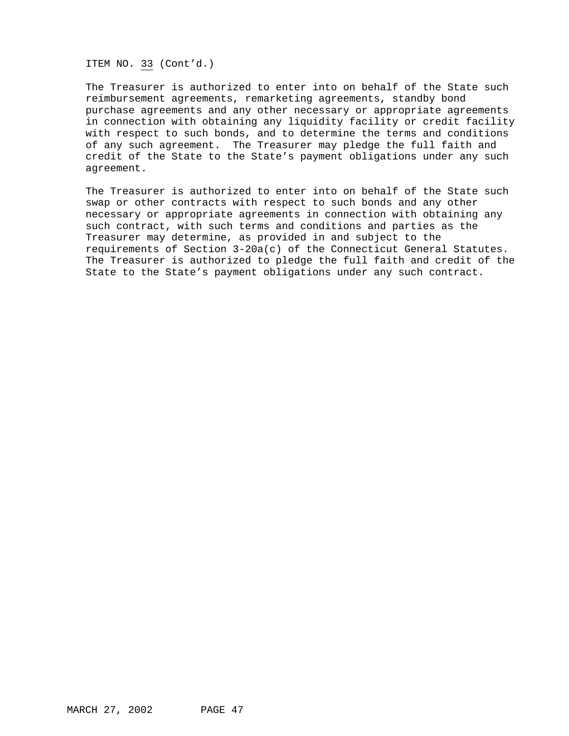ITEM NO. 33 (Cont'd.)

The Treasurer is authorized to enter into on behalf of the State such reimbursement agreements, remarketing agreements, standby bond purchase agreements and any other necessary or appropriate agreements in connection with obtaining any liquidity facility or credit facility with respect to such bonds, and to determine the terms and conditions of any such agreement. The Treasurer may pledge the full faith and credit of the State to the State's payment obligations under any such agreement.

The Treasurer is authorized to enter into on behalf of the State such swap or other contracts with respect to such bonds and any other necessary or appropriate agreements in connection with obtaining any such contract, with such terms and conditions and parties as the Treasurer may determine, as provided in and subject to the requirements of Section 3-20a(c) of the Connecticut General Statutes. The Treasurer is authorized to pledge the full faith and credit of the State to the State's payment obligations under any such contract.